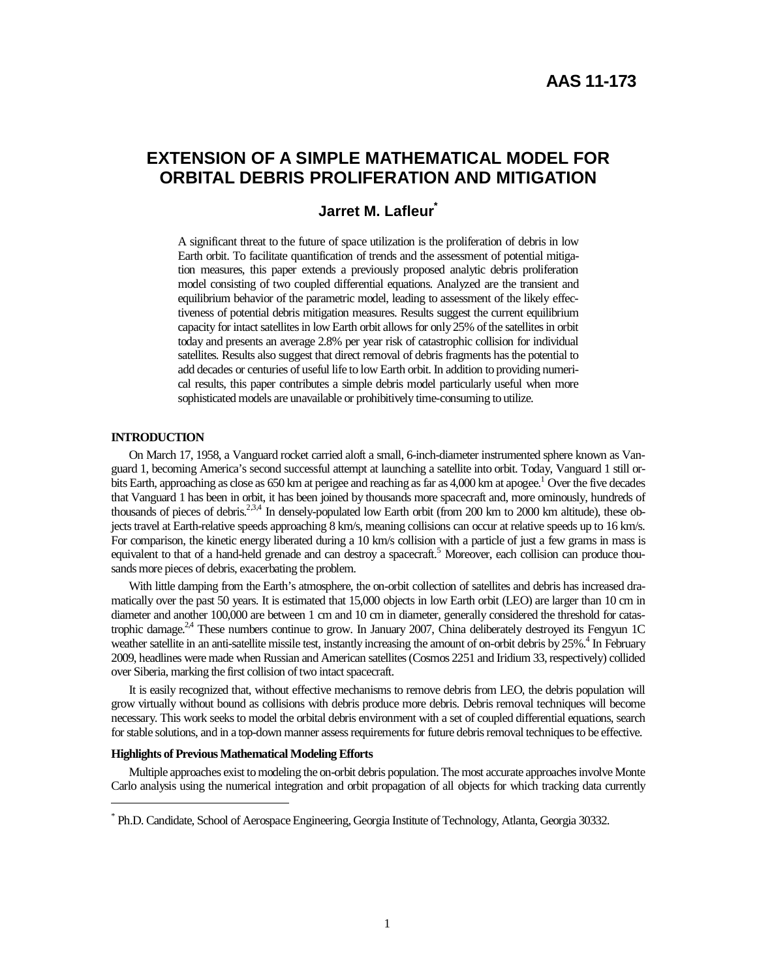# **EXTENSION OF A SIMPLE MATHEMATICAL MODEL FOR ORBITAL DEBRIS PROLIFERATION AND MITIGATION**

## **Jarret M. Lafleur\***

A significant threat to the future of space utilization is the proliferation of debris in low Earth orbit. To facilitate quantification of trends and the assessment of potential mitigation measures, this paper extends a previously proposed analytic debris proliferation model consisting of two coupled differential equations. Analyzed are the transient and equilibrium behavior of the parametric model, leading to assessment of the likely effectiveness of potential debris mitigation measures. Results suggest the current equilibrium capacity for intact satellites in low Earth orbit allows for only 25% of the satellites in orbit today and presents an average 2.8% per year risk of catastrophic collision for individual satellites. Results also suggest that direct removal of debris fragments has the potential to add decades or centuries of useful life to low Earth orbit. In addition to providing numerical results, this paper contributes a simple debris model particularly useful when more sophisticated models are unavailable or prohibitively time-consuming to utilize.

#### **INTRODUCTION**

-

On March 17, 1958, a Vanguard rocket carried aloft a small, 6-inch-diameter instrumented sphere known as Vanguard 1, becoming America's second successful attempt at launching a satellite into orbit. Today, Vanguard 1 still orbits Earth, approaching as close as 650 km at perigee and reaching as far as 4,000 km at apogee.<sup>1</sup> Over the five decades that Vanguard 1 has been in orbit, it has been joined by thousands more spacecraft and, more ominously, hundreds of thousands of pieces of debris.<sup>2,3,4</sup> In densely-populated low Earth orbit (from 200 km to 2000 km altitude), these objects travel at Earth-relative speeds approaching 8 km/s, meaning collisions can occur at relative speeds up to 16 km/s. For comparison, the kinetic energy liberated during a 10 km/s collision with a particle of just a few grams in mass is equivalent to that of a hand-held grenade and can destroy a spacecraft.<sup>5</sup> Moreover, each collision can produce thousands more pieces of debris, exacerbating the problem.

With little damping from the Earth's atmosphere, the on-orbit collection of satellites and debris has increased dramatically over the past 50 years. It is estimated that 15,000 objects in low Earth orbit (LEO) are larger than 10 cm in diameter and another 100,000 are between 1 cm and 10 cm in diameter, generally considered the threshold for catastrophic damage.<sup>24</sup> These numbers continue to grow. In January 2007, China deliberately destroyed its Fengyun 1C weather satellite in an anti-satellite missile test, instantly increasing the amount of on-orbit debris by 25%.<sup>4</sup> In February 2009, headlines were made when Russian and American satellites (Cosmos 2251 and Iridium 33, respectively) collided over Siberia, marking the first collision of two intact spacecraft.

It is easily recognized that, without effective mechanisms to remove debris from LEO, the debris population will grow virtually without bound as collisions with debris produce more debris. Debris removal techniques will become necessary. This work seeks to model the orbital debris environment with a set of coupled differential equations, search for stable solutions, and in a top-down manner assess requirements for future debris removal techniques to be effective.

#### **Highlights of Previous Mathematical Modeling Efforts**

Multiple approaches exist to modeling the on-orbit debris population. The most accurate approaches involve Monte Carlo analysis using the numerical integration and orbit propagation of all objects for which tracking data currently

<sup>\*</sup> Ph.D. Candidate, School of Aerospace Engineering, Georgia Institute of Technology, Atlanta, Georgia 30332.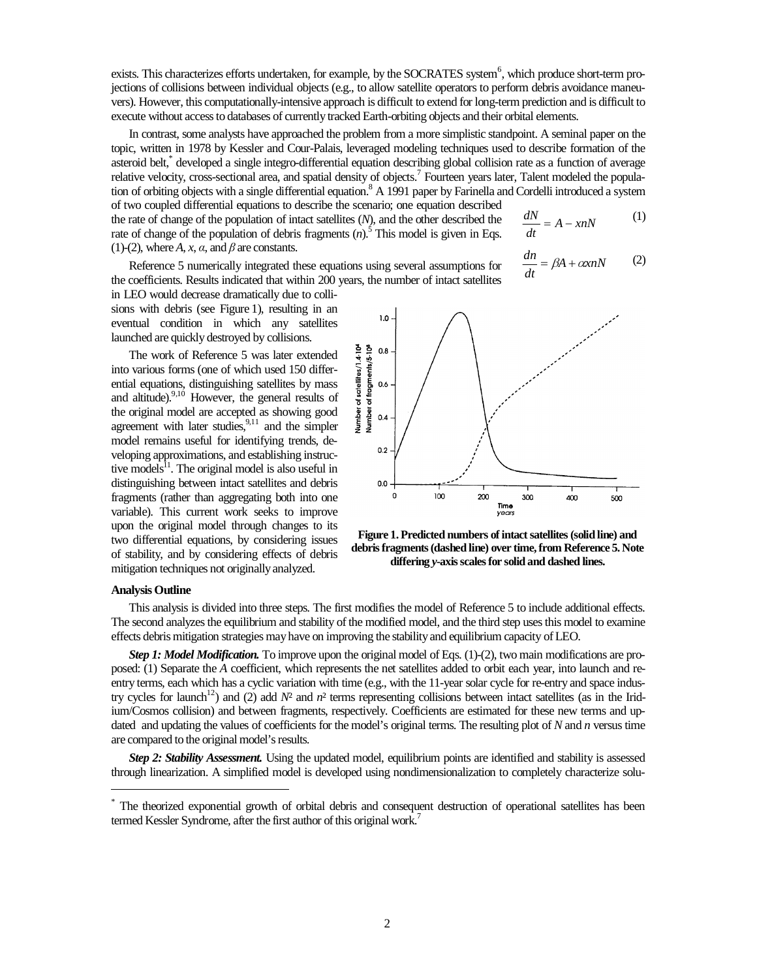exists. This characterizes efforts undertaken, for example, by the SOCRATES system<sup>6</sup>, which produce short-term projections of collisions between individual objects (e.g., to allow satellite operators to perform debris avoidance maneuvers). However, this computationally-intensive approach is difficult to extend for long-term prediction and is difficult to execute without access to databases of currently tracked Earth-orbiting objects and their orbital elements.

In contrast, some analysts have approached the problem from a more simplistic standpoint. A seminal paper on the topic, written in 1978 by Kessler and Cour-Palais, leveraged modeling techniques used to describe formation of the asteroid belt,<sup>\*</sup> developed a single integro-differential equation describing global collision rate as a function of average relative velocity, cross-sectional area, and spatial density of objects.<sup>7</sup> Fourteen years later, Talent modeled the population of orbiting objects with a single differential equation.<sup>8</sup> A 1991 paper by Farinella and Cordelli introduced a system of two coupled differential equations to describe the scenario; one equation described *dN*

the rate of change of the population of intact satellites (*N*), and the other described the rate of change of the population of debris fragments  $(n)$ <sup>5</sup>. This model is given in Eqs. (1)-(2), where  $A$ ,  $x$ ,  $\alpha$ , and  $\beta$  are constants.

 $= A - xnN$ *dt dn*

*dt*

Reference 5 numerically integrated these equations using several assumptions for the coefficients. Results indicated that within 200 years, the number of intact satellites

$$
= \beta A + \alpha x n N \qquad (2)
$$

(1)

in LEO would decrease dramatically due to collisions with debris (see Figure 1), resulting in an eventual condition in which any satellites launched are quickly destroyed by collisions.

The work of Reference 5 was later extended into various forms (one of which used 150 differential equations, distinguishing satellites by mass and altitude). $9,10$  However, the general results of the original model are accepted as showing good agreement with later studies,  $9,11$  and the simpler model remains useful for identifying trends, developing approximations, and establishing instructive models $^{11}$ . The original model is also useful in distinguishing between intact satellites and debris fragments (rather than aggregating both into one variable). This current work seeks to improve upon the original model through changes to its two differential equations, by considering issues of stability, and by considering effects of debris mitigation techniques not originally analyzed.



**Figure 1. Predicted numbers of intact satellites (solid line) and debris fragments (dashed line) over time, from Reference 5. Note differing** *y***-axis scales for solid and dashed lines.** 

#### **Analysis Outline**

-

This analysis is divided into three steps. The first modifies the model of Reference 5 to include additional effects. The second analyzes the equilibrium and stability of the modified model, and the third step uses this model to examine effects debris mitigation strategies may have on improving the stability and equilibrium capacity of LEO.

*Step 1: Model Modification.* To improve upon the original model of Eqs. (1)-(2), two main modifications are proposed: (1) Separate the *A* coefficient, which represents the net satellites added to orbit each year, into launch and reentry terms, each which has a cyclic variation with time (e.g., with the 11-year solar cycle for re-entry and space industry cycles for launch<sup>12</sup>) and (2) add  $N<sup>2</sup>$  and  $n<sup>2</sup>$  terms representing collisions between intact satellites (as in the Iridium/Cosmos collision) and between fragments, respectively. Coefficients are estimated for these new terms and updated and updating the values of coefficients for the model's original terms. The resulting plot of *N* and *n* versus time are compared to the original model's results.

*Step 2: Stability Assessment.* Using the updated model, equilibrium points are identified and stability is assessed through linearization. A simplified model is developed using nondimensionalization to completely characterize solu-

<sup>\*</sup> The theorized exponential growth of orbital debris and consequent destruction of operational satellites has been termed Kessler Syndrome, after the first author of this original work.<sup>7</sup>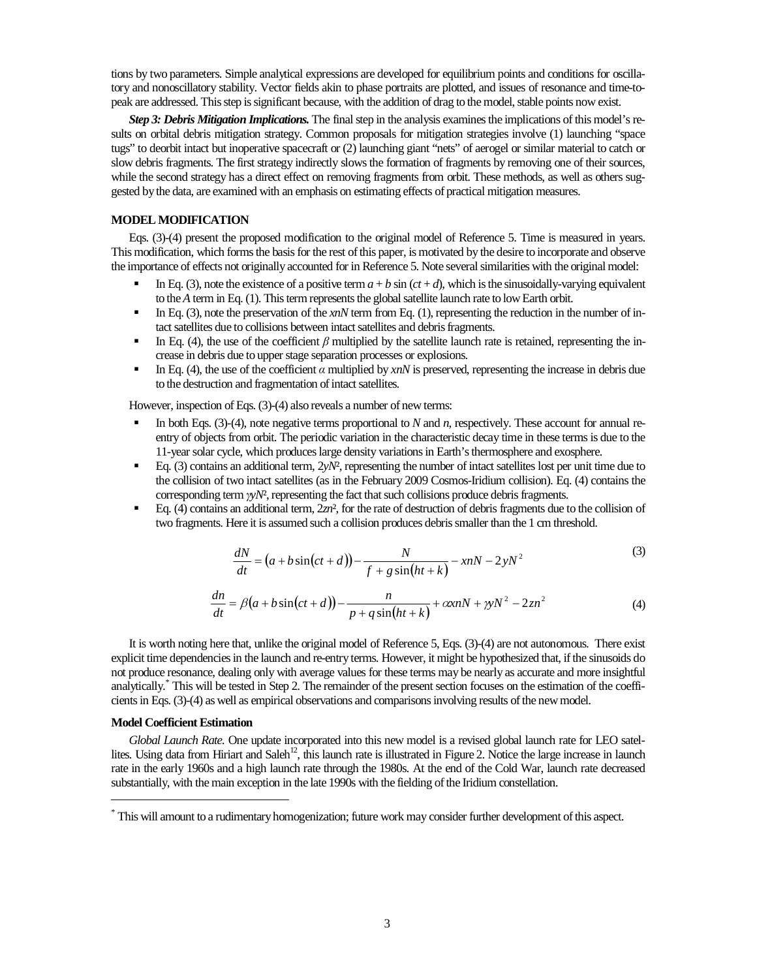tions by two parameters. Simple analytical expressions are developed for equilibrium points and conditions for oscillatory and nonoscillatory stability. Vector fields akin to phase portraits are plotted, and issues of resonance and time-topeak are addressed. This step is significant because, with the addition of drag to the model, stable points now exist.

*Step 3: Debris Mitigation Implications.* The final step in the analysis examines the implications of this model's results on orbital debris mitigation strategy. Common proposals for mitigation strategies involve (1) launching "space tugs" to deorbit intact but inoperative spacecraft or (2) launching giant "nets" of aerogel or similar material to catch or slow debris fragments. The first strategy indirectly slows the formation of fragments by removing one of their sources, while the second strategy has a direct effect on removing fragments from orbit. These methods, as well as others suggested by the data, are examined with an emphasis on estimating effects of practical mitigation measures.

## **MODEL MODIFICATION**

Eqs. (3)-(4) present the proposed modification to the original model of Reference 5. Time is measured in years. This modification, which forms the basis for the rest of this paper, is motivated by the desire to incorporate and observe the importance of effects not originally accounted for in Reference 5. Note several similarities with the original model:

- In Eq. (3), note the existence of a positive term  $a + b \sin(ct + d)$ , which is the sinusoidally-varying equivalent to the *A* term in Eq. (1). This term represents the global satellite launch rate to low Earth orbit.
- In Eq. (3), note the preservation of the  $x<sub>n</sub>N$  term from Eq. (1), representing the reduction in the number of intact satellites due to collisions between intact satellites and debris fragments.
- In Eq. (4), the use of the coefficient  $\beta$  multiplied by the satellite launch rate is retained, representing the increase in debris due to upper stage separation processes or explosions.
- In Eq. (4), the use of the coefficient  $\alpha$  multiplied by *xnN* is preserved, representing the increase in debris due to the destruction and fragmentation of intact satellites.

However, inspection of Eqs. (3)-(4) also reveals a number of new terms:

- In both Eqs. (3)-(4), note negative terms proportional to *N* and *n*, respectively. These account for annual reentry of objects from orbit. The periodic variation in the characteristic decay time in these terms is due to the 11-year solar cycle, which produces large density variations in Earth's thermosphere and exosphere.
- Eq. (3) contains an additional term, 2*yN*², representing the number of intact satellites lost per unit time due to the collision of two intact satellites (as in the February 2009 Cosmos-Iridium collision). Eq. (4) contains the corresponding term γ*yN*², representing the fact that such collisions produce debris fragments.
- Eq. (4) contains an additional term, 2*zn*², for the rate of destruction of debris fragments due to the collision of two fragments. Here it is assumed such a collision produces debris smaller than the 1 cm threshold.

$$
\frac{dN}{dt} = (a + b\sin(ct + d)) - \frac{N}{f + g\sin(ht + k)} - xnN - 2yN^2\tag{3}
$$

$$
\frac{dn}{dt} = \beta\big(a + b\sin\big(ct + d\big)\big) - \frac{n}{p + q\sin\big(h t + k\big)} + \alpha x n N + \gamma N^2 - 2z n^2\tag{4}
$$

It is worth noting here that, unlike the original model of Reference 5, Eqs. (3)-(4) are not autonomous. There exist explicit time dependencies in the launch and re-entry terms. However, it might be hypothesized that, if the sinusoids do not produce resonance, dealing only with average values for these terms may be nearly as accurate and more insightful analytically.\* This will be tested in Step 2. The remainder of the present section focuses on the estimation of the coefficients in Eqs. (3)-(4) as well as empirical observations and comparisons involving results of the new model.

#### **Model Coefficient Estimation**

-

*Global Launch Rate.* One update incorporated into this new model is a revised global launch rate for LEO satellites. Using data from Hiriart and Saleh<sup>12</sup>, this launch rate is illustrated in Figure 2. Notice the large increase in launch rate in the early 1960s and a high launch rate through the 1980s. At the end of the Cold War, launch rate decreased substantially, with the main exception in the late 1990s with the fielding of the Iridium constellation.

<sup>\*</sup> This will amount to a rudimentary homogenization; future work may consider further development of this aspect.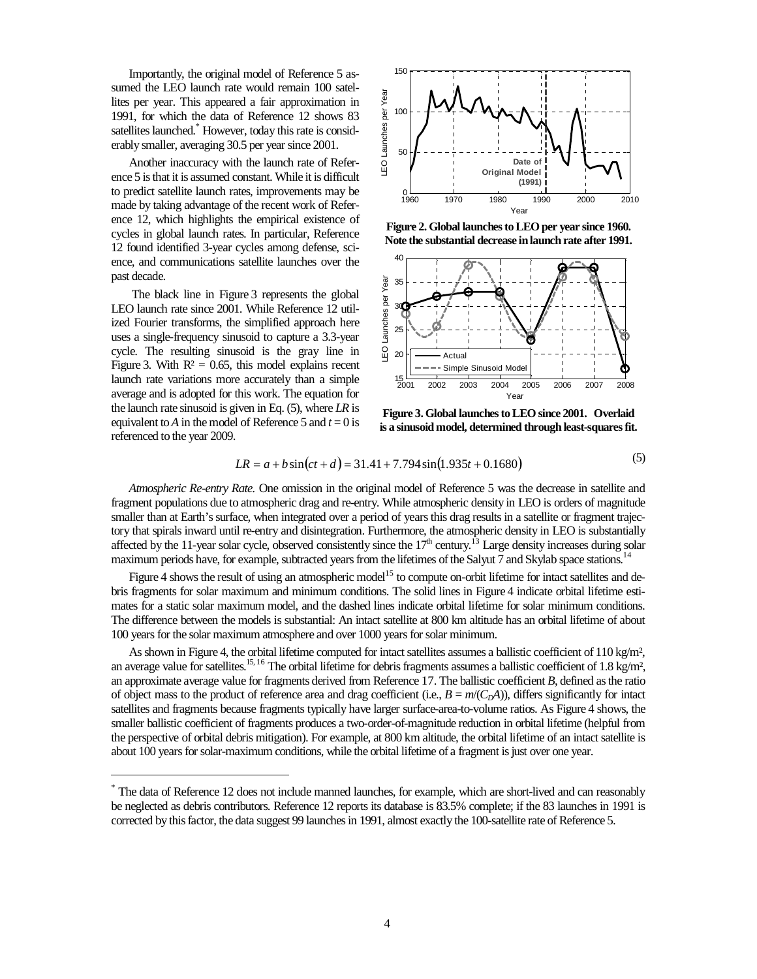Importantly, the original model of Reference 5 assumed the LEO launch rate would remain 100 satellites per year. This appeared a fair approximation in 1991, for which the data of Reference 12 shows 83 satellites launched.<sup>\*</sup> However, today this rate is considerably smaller, averaging 30.5 per year since 2001.

Another inaccuracy with the launch rate of Reference 5 is that it is assumed constant. While it is difficult to predict satellite launch rates, improvements may be made by taking advantage of the recent work of Reference 12, which highlights the empirical existence of cycles in global launch rates. In particular, Reference 12 found identified 3-year cycles among defense, science, and communications satellite launches over the past decade.

 The black line in Figure 3 represents the global LEO launch rate since 2001. While Reference 12 utilized Fourier transforms, the simplified approach here uses a single-frequency sinusoid to capture a 3.3-year cycle. The resulting sinusoid is the gray line in Figure 3. With  $R^2 = 0.65$ , this model explains recent launch rate variations more accurately than a simple average and is adopted for this work. The equation for the launch rate sinusoid is given in Eq. (5), where *LR* is equivalent to *A* in the model of Reference 5 and  $t = 0$  is referenced to the year 2009.

-



**Figure 2. Global launches to LEO per year since 1960. Note the substantial decrease in launch rate after 1991.** 



**Figure 3. Global launches to LEO since 2001. Overlaid is a sinusoid model, determined through least-squares fit.** 

$$
LR = a + b\sin(ct + d) = 31.41 + 7.794\sin(1.935t + 0.1680)
$$
\n(5)

*Atmospheric Re-entry Rate.* One omission in the original model of Reference 5 was the decrease in satellite and fragment populations due to atmospheric drag and re-entry. While atmospheric density in LEO is orders of magnitude smaller than at Earth's surface, when integrated over a period of years this drag results in a satellite or fragment trajectory that spirals inward until re-entry and disintegration. Furthermore, the atmospheric density in LEO is substantially affected by the 11-year solar cycle, observed consistently since the  $17<sup>th</sup>$  century.<sup>13</sup> Large density increases during solar maximum periods have, for example, subtracted years from the lifetimes of the Salyut 7 and Skylab space stations.<sup>1</sup>

Figure 4 shows the result of using an atmospheric model<sup>15</sup> to compute on-orbit lifetime for intact satellites and debris fragments for solar maximum and minimum conditions. The solid lines in Figure 4 indicate orbital lifetime estimates for a static solar maximum model, and the dashed lines indicate orbital lifetime for solar minimum conditions. The difference between the models is substantial: An intact satellite at 800 km altitude has an orbital lifetime of about 100 years for the solar maximum atmosphere and over 1000 years for solar minimum.

As shown in Figure 4, the orbital lifetime computed for intact satellites assumes a ballistic coefficient of 110 kg/m<sup>2</sup>, an average value for satellites.<sup>15, 16</sup> The orbital lifetime for debris fragments assumes a ballistic coefficient of 1.8 kg/m<sup>2</sup>, an approximate average value for fragments derived from Reference 17. The ballistic coefficient *B*, defined as the ratio of object mass to the product of reference area and drag coefficient (i.e.,  $B = m/(C<sub>D</sub>A)$ ), differs significantly for intact satellites and fragments because fragments typically have larger surface-area-to-volume ratios. As Figure 4 shows, the smaller ballistic coefficient of fragments produces a two-order-of-magnitude reduction in orbital lifetime (helpful from the perspective of orbital debris mitigation). For example, at 800 km altitude, the orbital lifetime of an intact satellite is about 100 years for solar-maximum conditions, while the orbital lifetime of a fragment is just over one year.

<sup>\*</sup> The data of Reference 12 does not include manned launches, for example, which are short-lived and can reasonably be neglected as debris contributors. Reference 12 reports its database is 83.5% complete; if the 83 launches in 1991 is corrected by this factor, the data suggest 99 launches in 1991, almost exactly the 100-satellite rate of Reference 5.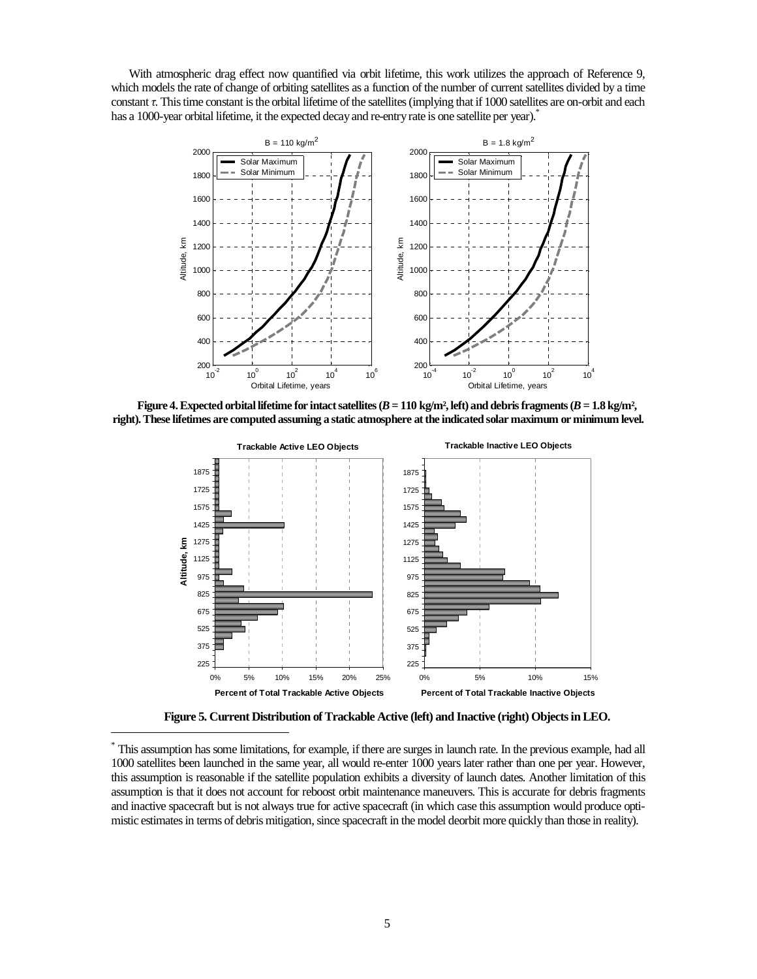With atmospheric drag effect now quantified via orbit lifetime, this work utilizes the approach of Reference 9, which models the rate of change of orbiting satellites as a function of the number of current satellites divided by a time constant τ. This time constant is the orbital lifetime of the satellites (implying that if 1000 satellites are on-orbit and each has a 1000-year orbital lifetime, it the expected decay and re-entry rate is one satellite per year).<sup>\*</sup>



**Figure 4. Expected orbital lifetime for intact satellites**  $(B = 110 \text{ kg/m}^2, \text{left})$  **and debris fragments**  $(B = 1.8 \text{ kg/m}^2, \text{right})$ **right). These lifetimes are computed assuming a static atmosphere at the indicated solar maximum or minimum level.**



**Figure 5. Current Distribution of Trackable Active (left) and Inactive (right) Objects in LEO.** 

-

<sup>\*</sup> This assumption has some limitations, for example, if there are surges in launch rate. In the previous example, had all 1000 satellites been launched in the same year, all would re-enter 1000 years later rather than one per year. However, this assumption is reasonable if the satellite population exhibits a diversity of launch dates. Another limitation of this assumption is that it does not account for reboost orbit maintenance maneuvers. This is accurate for debris fragments and inactive spacecraft but is not always true for active spacecraft (in which case this assumption would produce optimistic estimates in terms of debris mitigation, since spacecraft in the model deorbit more quickly than those in reality).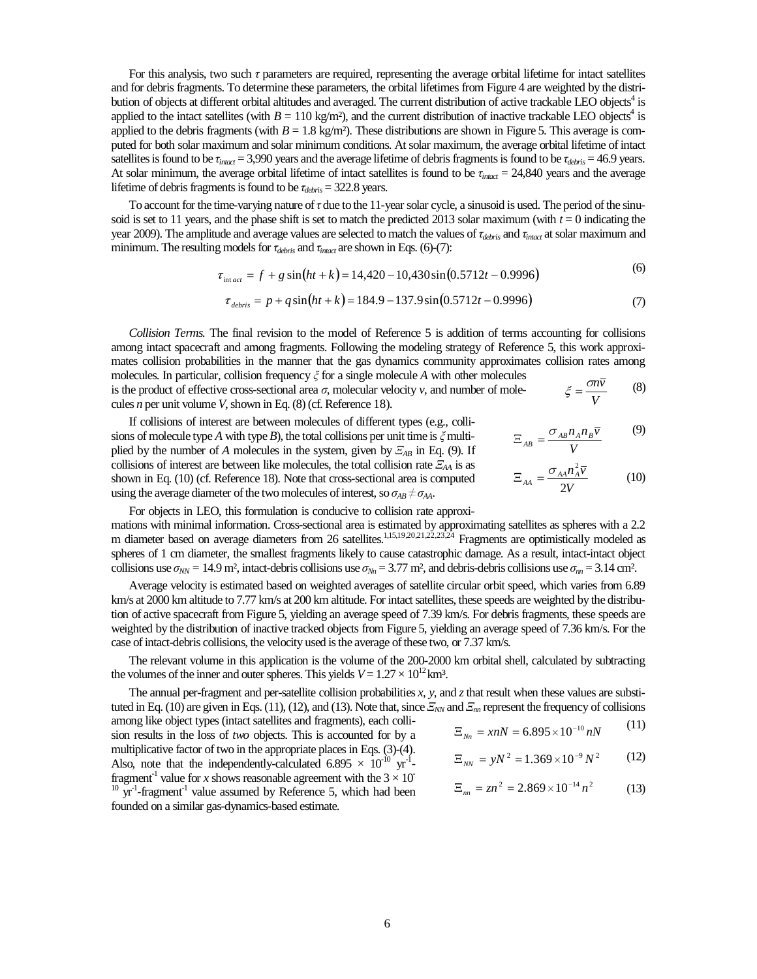For this analysis, two such τ parameters are required, representing the average orbital lifetime for intact satellites and for debris fragments. To determine these parameters, the orbital lifetimes from Figure 4 are weighted by the distribution of objects at different orbital altitudes and averaged. The current distribution of active trackable LEO objects<sup>4</sup> is applied to the intact satellites (with  $B = 110$  kg/m<sup>2</sup>), and the current distribution of inactive trackable LEO objects<sup>4</sup> is applied to the debris fragments (with  $B = 1.8 \text{ kg/m}^2$ ). These distributions are shown in Figure 5. This average is computed for both solar maximum and solar minimum conditions. At solar maximum, the average orbital lifetime of intact satellites is found to be  $\tau_{inact}$  = 3,990 years and the average lifetime of debris fragments is found to be  $\tau_{debris}$  = 46.9 years. At solar minimum, the average orbital lifetime of intact satellites is found to be  $\tau_{inact} = 24,840$  years and the average lifetime of debris fragments is found to be τ*debris* = 322.8 years.

To account for the time-varying nature of  $\tau$  due to the 11-year solar cycle, a sinusoid is used. The period of the sinusoid is set to 11 years, and the phase shift is set to match the predicted 2013 solar maximum (with  $t = 0$  indicating the year 2009). The amplitude and average values are selected to match the values of τ*debris* and τ*intact* at solar maximum and minimum. The resulting models for τ*debris* and τ*intact* are shown in Eqs. (6)-(7):

$$
\tau_{\text{int.act}} = f + g \sin\left(ht + k\right) = 14,420 - 10,430\sin\left(0.5712t - 0.9996\right) \tag{6}
$$

$$
\tau_{\text{debris}} = p + q \sin\left(ht + k\right) = 184.9 - 137.9 \sin\left(0.5712t - 0.9996\right) \tag{7}
$$

*Collision Terms.* The final revision to the model of Reference 5 is addition of terms accounting for collisions among intact spacecraft and among fragments. Following the modeling strategy of Reference 5, this work approximates collision probabilities in the manner that the gas dynamics community approximates collision rates among molecules. In particular, collision frequency ξ for a single molecule *A* with other molecules is the product of effective cross-sectional area  $\sigma$ , molecular velocity  $v$ , and number of molecules *n* per unit volume *V*, shown in Eq. (8) (cf. Reference 18). *V*  $\xi = \frac{\sigma n \overline{v}}{v}$  (8)

If collisions of interest are between molecules of different types (e.g., collisions of molecule type *A* with type *B*), the total collisions per unit time is  $\zeta$  multiplied by the number of *A* molecules in the system, given by Ξ*AB* in Eq. (9). If collisions of interest are between like molecules, the total collision rate Ξ*AA* is as shown in Eq. (10) (cf. Reference 18). Note that cross-sectional area is computed using the average diameter of the two molecules of interest, so  $\sigma_{AB} \neq \sigma_{AA}$ .

*V*  $\frac{\sigma_{AB}n_An_B\overline{v}}{V}$  $E_{\mu} = \frac{\sigma}{2}$ (9)

$$
\Xi_{AA} = \frac{\sigma_{AA} n_A^2 \overline{v}}{2V} \tag{10}
$$

For objects in LEO, this formulation is conducive to collision rate approximations with minimal information. Cross-sectional area is estimated by approximating satellites as spheres with a 2.2 m diameter based on average diameters from 26 satellites.<sup>1,15,19,20,21,22,23,24</sup> Fragments are optimistically modeled as spheres of 1 cm diameter, the smallest fragments likely to cause catastrophic damage. As a result, intact-intact object collisions use  $\sigma_{NN}$  = 14.9 m², intact-debris collisions use  $\sigma_{NN}$  = 3.77 m², and debris-debris collisions use  $\sigma_{nn}$  = 3.14 cm².

Average velocity is estimated based on weighted averages of satellite circular orbit speed, which varies from 6.89 km/s at 2000 km altitude to 7.77 km/s at 200 km altitude. For intact satellites, these speeds are weighted by the distribution of active spacecraft from Figure 5, yielding an average speed of 7.39 km/s. For debris fragments, these speeds are weighted by the distribution of inactive tracked objects from Figure 5, yielding an average speed of 7.36 km/s. For the case of intact-debris collisions, the velocity used is the average of these two, or 7.37 km/s.

The relevant volume in this application is the volume of the 200-2000 km orbital shell, calculated by subtracting the volumes of the inner and outer spheres. This yields  $V = 1.27 \times 10^{12}$  km<sup>3</sup>.

The annual per-fragment and per-satellite collision probabilities *x*, *y*, and *z* that result when these values are substituted in Eq. (10) are given in Eqs. (11), (12), and (13). Note that, since  $E_{NN}$  and  $E_{nn}$  represent the frequency of collisions among like object types (intact satellites and fragments), each collision results in the loss of *two* objects. This is accounted for by a multiplicative factor of two in the appropriate places in Eqs. (3)-(4). Also, note that the independently-calculated 6.895  $\times$  10<sup>-10</sup> yr<sup>-1</sup>fragment<sup>-1</sup> value for *x* shows reasonable agreement with the  $3 \times 10^{-1}$  $10\ \text{yr}^{-1}$ -fragment<sup>-1</sup> value assumed by Reference 5, which had been founded on a similar gas-dynamics-based estimate.  $E_{N_n} = xnN = 6.895 \times 10^{-10} nN$ (11)  $\Xi_{NN} = yN^2 = 1.369 \times 10^{-9} N^2$  (12)  $\Xi_{nn} = zn^2 = 2.869 \times 10^{-14} n^2$  (13)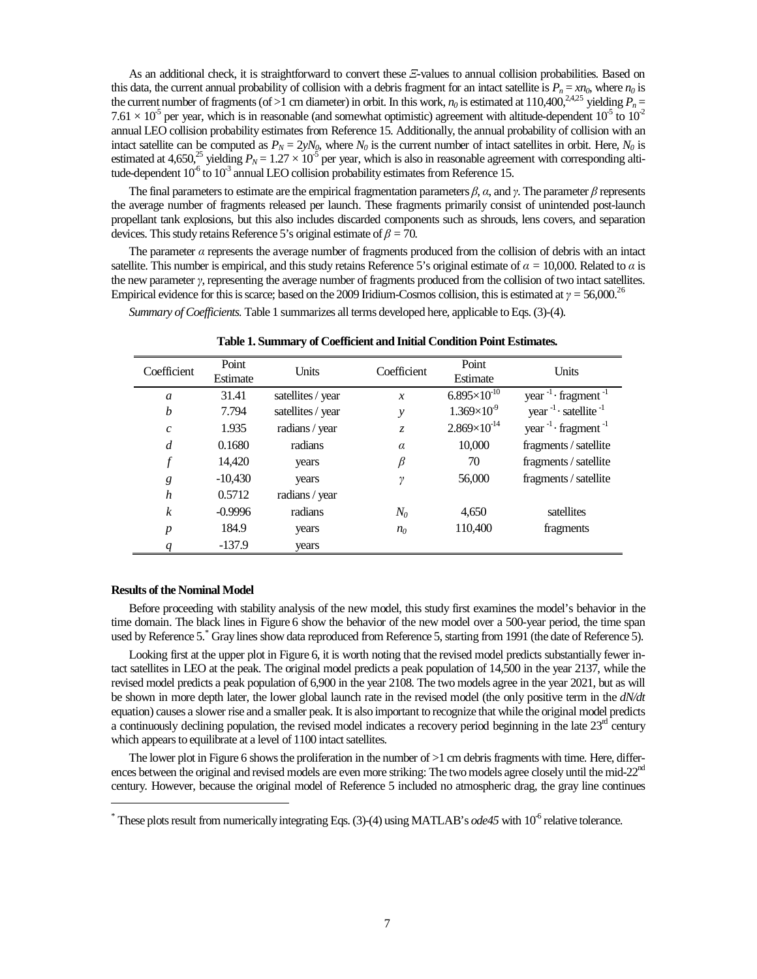As an additional check, it is straightforward to convert these Ξ-values to annual collision probabilities. Based on this data, the current annual probability of collision with a debris fragment for an intact satellite is  $P_n = xn_0$ , where  $n_0$  is the current number of fragments (of >1 cm diameter) in orbit. In this work,  $n_0$  is estimated at 110,400,<sup>2,4,25</sup> yielding  $P_n =$ 7.61  $\times$  10<sup>-5</sup> per year, which is in reasonable (and somewhat optimistic) agreement with altitude-dependent 10<sup>-5</sup> to 10<sup>-2</sup> annual LEO collision probability estimates from Reference 15. Additionally, the annual probability of collision with an intact satellite can be computed as  $P_N = 2yN_0$ , where  $N_0$  is the current number of intact satellites in orbit. Here,  $N_0$  is estimated at 4,650,<sup>25</sup> yielding  $P_N = 1.27 \times 10^{-5}$  per year, which is also in reasonable agreement with corresponding altitude-dependent  $10^{-6}$  to  $10^{-3}$  annual LEO collision probability estimates from Reference 15.

The final parameters to estimate are the empirical fragmentation parameters  $\beta$ ,  $\alpha$ , and  $\gamma$ . The parameter  $\beta$  represents the average number of fragments released per launch. These fragments primarily consist of unintended post-launch propellant tank explosions, but this also includes discarded components such as shrouds, lens covers, and separation devices. This study retains Reference 5's original estimate of β *=* 70*.*

The parameter  $\alpha$  represents the average number of fragments produced from the collision of debris with an intact satellite. This number is empirical, and this study retains Reference 5's original estimate of  $\alpha = 10,000$ . Related to  $\alpha$  is the new parameter γ, representing the average number of fragments produced from the collision of two intact satellites. Empirical evidence for this is scarce; based on the 2009 Iridium-Cosmos collision, this is estimated at  $\gamma = 56,000$ .<sup>26</sup>

*Summary of Coefficients.* Table 1 summarizes all terms developed here, applicable to Eqs. (3)-(4).

| Coefficient      | Point<br>Estimate | Units             | Coefficient        | Point<br>Estimate     | Units                                  |
|------------------|-------------------|-------------------|--------------------|-----------------------|----------------------------------------|
| $\mathfrak a$    | 31.41             | satellites / year | $\mathcal{X}$      | $6.895\times10^{10}$  | year $^{-1}$ fragment $^{-1}$          |
| $\boldsymbol{b}$ | 7.794             | satellites / year | у                  | $1.369\times10^{9}$   | year $^{-1}$ · satellite <sup>-1</sup> |
| $\mathcal{C}$    | 1.935             | radians / year    | Z.                 | $2.869\times10^{-14}$ | year $^{-1}$ fragment $^{-1}$          |
| $\overline{d}$   | 0.1680            | radians           | $\alpha$           | 10,000                | fragments / satellite                  |
| $\boldsymbol{f}$ | 14.420            | years             | $\beta$            | 70                    | fragments / satellite                  |
| g                | $-10,430$         | years             | $\boldsymbol{\nu}$ | 56,000                | fragments / satellite                  |
| h                | 0.5712            | radians / year    |                    |                       |                                        |
| $\boldsymbol{k}$ | $-0.9996$         | radians           | $N_0$              | 4,650                 | satellites                             |
| $\boldsymbol{p}$ | 184.9             | years             | n <sub>0</sub>     | 110,400               | fragments                              |
|                  | $-137.9$          | years             |                    |                       |                                        |

**Table 1. Summary of Coefficient and Initial Condition Point Estimates.** 

#### **Results of the Nominal Model**

-

Before proceeding with stability analysis of the new model, this study first examines the model's behavior in the time domain. The black lines in Figure 6 show the behavior of the new model over a 500-year period, the time span used by Reference 5. Gray lines show data reproduced from Reference 5, starting from 1991 (the date of Reference 5).

Looking first at the upper plot in Figure 6, it is worth noting that the revised model predicts substantially fewer intact satellites in LEO at the peak. The original model predicts a peak population of 14,500 in the year 2137, while the revised model predicts a peak population of 6,900 in the year 2108. The two models agree in the year 2021, but as will be shown in more depth later, the lower global launch rate in the revised model (the only positive term in the *dN/dt* equation) causes a slower rise and a smaller peak. It is also important to recognize that while the original model predicts a continuously declining population, the revised model indicates a recovery period beginning in the late  $23<sup>rd</sup>$  century which appears to equilibrate at a level of 1100 intact satellites.

The lower plot in Figure 6 shows the proliferation in the number of  $>1$  cm debris fragments with time. Here, differences between the original and revised models are even more striking: The two models agree closely until the mid-22 $^{\text{na}}$ century. However, because the original model of Reference 5 included no atmospheric drag, the gray line continues

<sup>\*</sup> These plots result from numerically integrating Eqs. (3)-(4) using MATLAB's *ode45* with 10<sup>-6</sup> relative tolerance.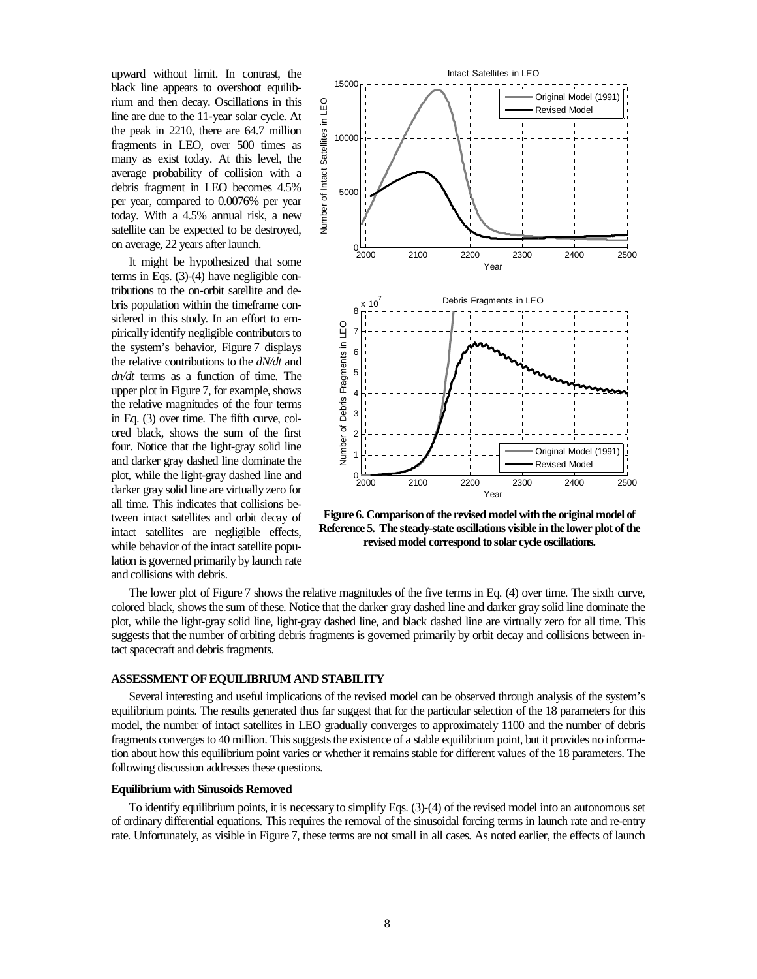upward without limit. In contrast, the black line appears to overshoot equilibrium and then decay. Oscillations in this line are due to the 11-year solar cycle. At the peak in 2210, there are 64.7 million fragments in LEO, over 500 times as many as exist today. At this level, the average probability of collision with a debris fragment in LEO becomes 4.5% per year, compared to 0.0076% per year today. With a 4.5% annual risk, a new satellite can be expected to be destroyed, on average, 22 years after launch.

It might be hypothesized that some terms in Eqs. (3)-(4) have negligible contributions to the on-orbit satellite and debris population within the timeframe considered in this study. In an effort to empirically identify negligible contributors to the system's behavior, Figure 7 displays the relative contributions to the *dN/dt* and *dn/dt* terms as a function of time. The upper plot in Figure 7, for example, shows the relative magnitudes of the four terms in Eq. (3) over time. The fifth curve, colored black, shows the sum of the first four. Notice that the light-gray solid line and darker gray dashed line dominate the plot, while the light-gray dashed line and darker gray solid line are virtually zero for all time. This indicates that collisions between intact satellites and orbit decay of intact satellites are negligible effects, while behavior of the intact satellite population is governed primarily by launch rate and collisions with debris.



**Figure 6. Comparison of the revised model with the original model of Reference 5. The steady-state oscillations visible in the lower plot of the revised model correspond to solar cycle oscillations.** 

The lower plot of Figure 7 shows the relative magnitudes of the five terms in Eq. (4) over time. The sixth curve, colored black, shows the sum of these. Notice that the darker gray dashed line and darker gray solid line dominate the plot, while the light-gray solid line, light-gray dashed line, and black dashed line are virtually zero for all time. This suggests that the number of orbiting debris fragments is governed primarily by orbit decay and collisions between intact spacecraft and debris fragments.

### **ASSESSMENT OF EQUILIBRIUM AND STABILITY**

Several interesting and useful implications of the revised model can be observed through analysis of the system's equilibrium points. The results generated thus far suggest that for the particular selection of the 18 parameters for this model, the number of intact satellites in LEO gradually converges to approximately 1100 and the number of debris fragments converges to 40 million. This suggests the existence of a stable equilibrium point, but it provides no information about how this equilibrium point varies or whether it remains stable for different values of the 18 parameters. The following discussion addresses these questions.

#### **Equilibrium with Sinusoids Removed**

To identify equilibrium points, it is necessary to simplify Eqs. (3)-(4) of the revised model into an autonomous set of ordinary differential equations. This requires the removal of the sinusoidal forcing terms in launch rate and re-entry rate. Unfortunately, as visible in Figure 7, these terms are not small in all cases. As noted earlier, the effects of launch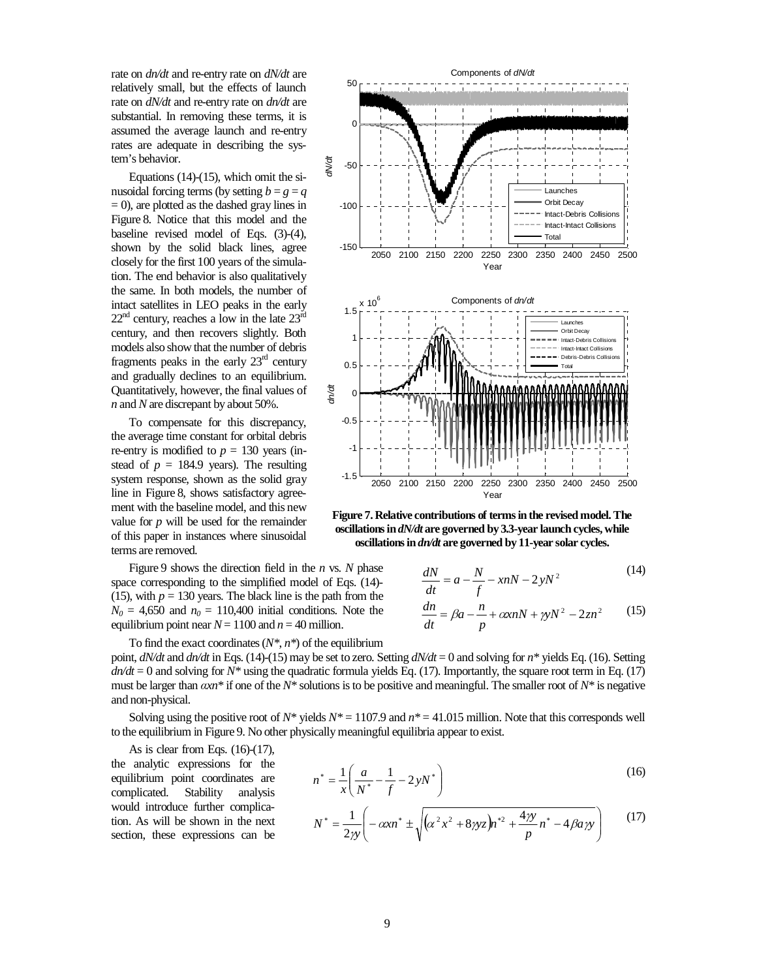rate on *dn/dt* and re-entry rate on *dN/dt* are relatively small, but the effects of launch rate on *dN/dt* and re-entry rate on *dn/dt* are substantial. In removing these terms, it is assumed the average launch and re-entry rates are adequate in describing the system's behavior.

Equations (14)-(15), which omit the sinusoidal forcing terms (by setting  $b = g = q$  $= 0$ ), are plotted as the dashed gray lines in Figure 8. Notice that this model and the baseline revised model of Eqs. (3)-(4), shown by the solid black lines, agree closely for the first 100 years of the simulation. The end behavior is also qualitatively the same. In both models, the number of intact satellites in LEO peaks in the early  $22<sup>nd</sup>$  century, reaches a low in the late  $23<sup>nd</sup>$ century, and then recovers slightly. Both models also show that the number of debris fragments peaks in the early  $23<sup>rd</sup>$  century and gradually declines to an equilibrium. Quantitatively, however, the final values of *n* and *N* are discrepant by about 50%.

To compensate for this discrepancy, the average time constant for orbital debris re-entry is modified to  $p = 130$  years (instead of  $p = 184.9$  years). The resulting system response, shown as the solid gray line in Figure 8, shows satisfactory agreement with the baseline model, and this new value for *p* will be used for the remainder of this paper in instances where sinusoidal terms are removed.

Figure 9 shows the direction field in the *n* vs. *N* phase space corresponding to the simplified model of Eqs. (14)- (15), with  $p = 130$  years. The black line is the path from the  $N_0 = 4{,}650$  and  $n_0 = 110{,}400$  initial conditions. Note the equilibrium point near  $N = 1100$  and  $n = 40$  million.



Solving using the positive root of  $N^*$  yields  $N^* = 1107.9$  and  $n^* = 41.015$  million. Note that this corresponds well to the equilibrium in Figure 9. No other physically meaningful equilibria appear to exist.

As is clear from Eqs.  $(16)-(17)$ , the analytic expressions for the equilibrium point coordinates are complicated. Stability analysis would introduce further complication. As will be shown in the next section, these expressions can be



**Figure 7. Relative contributions of terms in the revised model. The oscillations in** *dN/dt* **are governed by 3.3-year launch cycles, while oscillations in** *dn/dt* **are governed by 11-year solar cycles.** 

$$
\frac{dN}{dt} = a - \frac{N}{f} - xnN - 2yN^2\tag{14}
$$

$$
\frac{dn}{dt} = \beta a - \frac{n}{p} + \alpha x nN + \gamma y N^2 - 2z n^2 \tag{15}
$$

$$
n^* = \frac{1}{x} \left( \frac{a}{N^*} - \frac{1}{f} - 2yN^* \right)
$$
 (16)

$$
N^* = \frac{1}{2\gamma} \left( -\alpha x n^* \pm \sqrt{(\alpha^2 x^2 + 8\gamma y z) n^{*2} + \frac{4\gamma y}{p} n^* - 4\beta a \gamma y} \right) \tag{17}
$$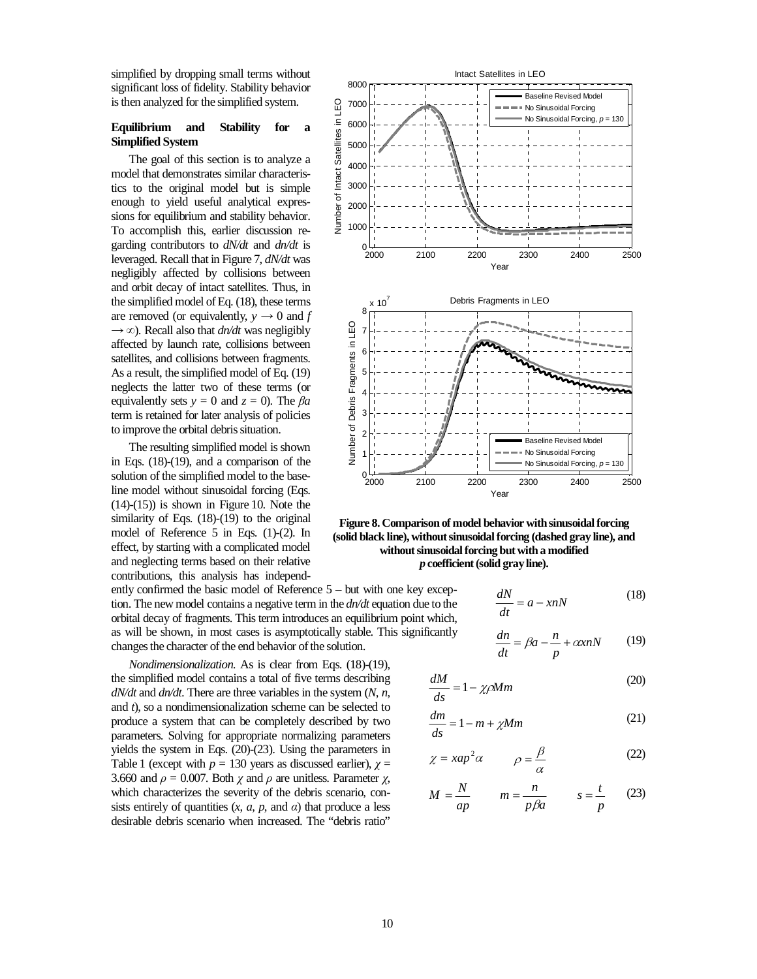simplified by dropping small terms without significant loss of fidelity. Stability behavior is then analyzed for the simplified system.

## **Equilibrium and Stability for a Simplified System**

The goal of this section is to analyze a model that demonstrates similar characteristics to the original model but is simple enough to yield useful analytical expressions for equilibrium and stability behavior. To accomplish this, earlier discussion regarding contributors to *dN/dt* and *dn/dt* is leveraged. Recall that in Figure 7, *dN/dt* was negligibly affected by collisions between and orbit decay of intact satellites. Thus, in the simplified model of Eq. (18), these terms are removed (or equivalently,  $y \rightarrow 0$  and *f*  $\rightarrow \infty$ ). Recall also that *dn/dt* was negligibly affected by launch rate, collisions between satellites, and collisions between fragments. As a result, the simplified model of Eq. (19) neglects the latter two of these terms (or equivalently sets  $y = 0$  and  $z = 0$ ). The  $\beta a$ term is retained for later analysis of policies to improve the orbital debris situation.

The resulting simplified model is shown in Eqs. (18)-(19), and a comparison of the solution of the simplified model to the baseline model without sinusoidal forcing (Eqs.  $(14)-(15)$ ) is shown in Figure 10. Note the similarity of Eqs. (18)-(19) to the original model of Reference 5 in Eqs. (1)-(2). In effect, by starting with a complicated model and neglecting terms based on their relative contributions, this analysis has independ-

ently confirmed the basic model of Reference 5 – but with one key exception. The new model contains a negative term in the *dn/dt* equation due to the orbital decay of fragments. This term introduces an equilibrium point which, as will be shown, in most cases is asymptotically stable. This significantly changes the character of the end behavior of the solution.

*Nondimensionalization.* As is clear from Eqs. (18)-(19), the simplified model contains a total of five terms describing *dN/dt* and *dn/dt*. There are three variables in the system (*N*, *n*, and *t*), so a nondimensionalization scheme can be selected to produce a system that can be completely described by two parameters. Solving for appropriate normalizing parameters yields the system in Eqs. (20)-(23). Using the parameters in Table 1 (except with  $p = 130$  years as discussed earlier),  $\gamma =$ 3.660 and  $\rho = 0.007$ . Both  $\chi$  and  $\rho$  are unitless. Parameter  $\chi$ , which characterizes the severity of the debris scenario, consists entirely of quantities  $(x, a, p, \text{ and } a)$  that produce a less desirable debris scenario when increased. The "debris ratio"



**Figure 8. Comparison of model behavior with sinusoidal forcing (solid black line), without sinusoidal forcing (dashed gray line), and without sinusoidal forcing but with a modified**  *p* **coefficient (solid gray line).** 

$$
\frac{dN}{dt} = a - xnN\tag{18}
$$

$$
\frac{dn}{dt} = \beta a - \frac{n}{p} + \alpha x nN \tag{19}
$$

$$
\frac{dM}{ds} = 1 - \chi \rho M m \tag{20}
$$

$$
\frac{dm}{ds} = 1 - m + \chi Mm \tag{21}
$$

$$
\chi = xap^2 \alpha \qquad \rho = \frac{\beta}{\alpha} \tag{22}
$$

$$
M = \frac{N}{ap} \qquad m = \frac{n}{p\beta a} \qquad s = \frac{t}{p} \qquad (23)
$$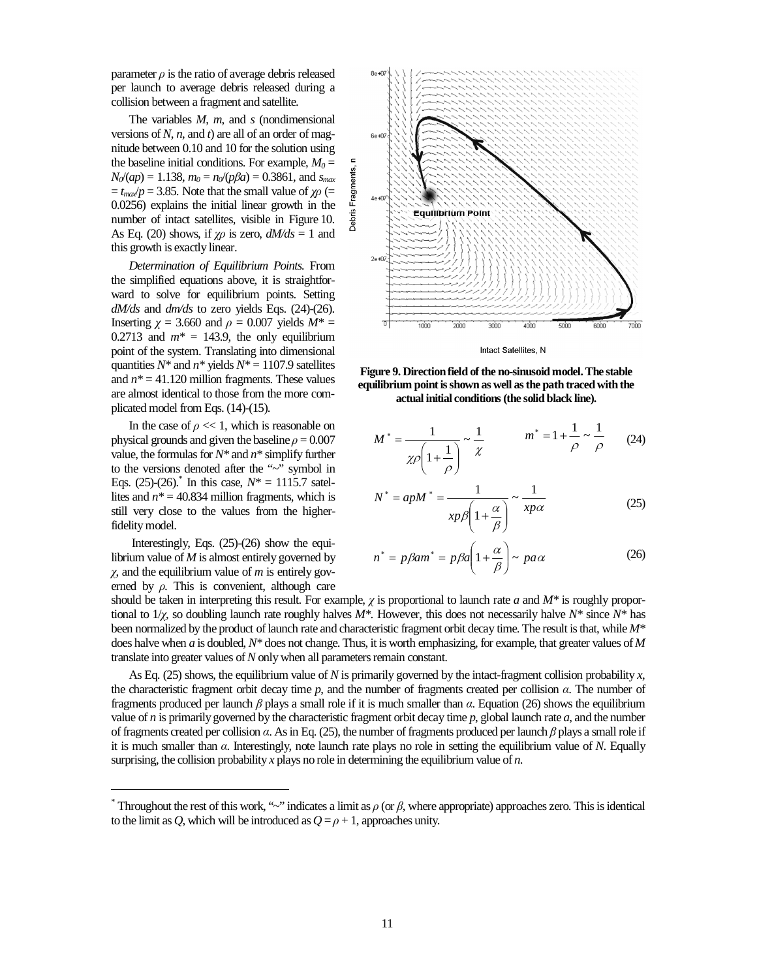parameter  $\rho$  is the ratio of average debris released per launch to average debris released during a collision between a fragment and satellite.

The variables *M*, *m*, and *s* (nondimensional versions of *N*, *n*, and *t*) are all of an order of magnitude between 0.10 and 10 for the solution using the baseline initial conditions. For example,  $M_0 =$  $N_0$ /(*ap*) = 1.138,  $m_0 = n_0$ /(*pβa*) = 0.3861, and *s*<sub>*max*</sub>  $t_{max}/p = 3.85$ . Note that the small value of  $\chi \rho$  (= 0.0256) explains the initial linear growth in the number of intact satellites, visible in Figure 10. As Eq. (20) shows, if  $\chi \rho$  is zero,  $dM/ds = 1$  and this growth is exactly linear.

*Determination of Equilibrium Points.* From the simplified equations above, it is straightforward to solve for equilibrium points. Setting *dM/ds* and *dm/ds* to zero yields Eqs. (24)-(26). Inserting  $\chi$  = 3.660 and  $\rho$  = 0.007 yields  $M^*$  = 0.2713 and  $m^* = 143.9$ , the only equilibrium point of the system. Translating into dimensional quantities  $N^*$  and  $n^*$  yields  $N^* = 1107.9$  satellites and  $n^* = 41.120$  million fragments. These values are almost identical to those from the more complicated model from Eqs. (14)-(15).

In the case of  $\rho \ll 1$ , which is reasonable on physical grounds and given the baseline  $\rho = 0.007$ value, the formulas for *N\** and *n\** simplify further to the versions denoted after the "~" symbol in Eqs. (25)-(26).<sup>\*</sup> In this case,  $N^* = 1115.7$  satellites and  $n^* = 40.834$  million fragments, which is still very close to the values from the higherfidelity model.

 Interestingly, Eqs. (25)-(26) show the equilibrium value of *M* is almost entirely governed by χ, and the equilibrium value of *m* is entirely governed by ρ*.* This is convenient, although care

-





$$
M^* = \frac{1}{\chi \rho \left(1 + \frac{1}{\rho}\right)} \sim \frac{1}{\chi} \qquad m^* = 1 + \frac{1}{\rho} \sim \frac{1}{\rho} \qquad (24)
$$

$$
N^* = apM^* = \frac{1}{xp\beta \left(1 + \frac{\alpha}{\beta}\right)} \sim \frac{1}{xp\alpha}
$$
 (25)

$$
n^* = p\beta am^* = p\beta a \left(1 + \frac{\alpha}{\beta}\right) \sim p a \alpha \tag{26}
$$

should be taken in interpreting this result. For example, χ is proportional to launch rate *a* and *M\** is roughly proportional to 1/χ, so doubling launch rate roughly halves *M\**. However, this does not necessarily halve *N\** since *N\** has been normalized by the product of launch rate and characteristic fragment orbit decay time. The result is that, while *M\** does halve when *a* is doubled, *N\** does not change. Thus, it is worth emphasizing, for example, that greater values of *M* translate into greater values of *N* only when all parameters remain constant.

As Eq. (25) shows, the equilibrium value of *N* is primarily governed by the intact-fragment collision probability *x*, the characteristic fragment orbit decay time *p*, and the number of fragments created per collision α. The number of fragments produced per launch  $\beta$  plays a small role if it is much smaller than  $\alpha$ . Equation (26) shows the equilibrium value of *n* is primarily governed by the characteristic fragment orbit decay time  $p$ , global launch rate  $a$ , and the number of fragments created per collision  $\alpha$ . As in Eq. (25), the number of fragments produced per launch  $\beta$  plays a small role if it is much smaller than α. Interestingly, note launch rate plays no role in setting the equilibrium value of *N*. Equally surprising, the collision probability *x* plays no role in determining the equilibrium value of *n*.

<sup>&</sup>lt;sup>\*</sup> Throughout the rest of this work, "~" indicates a limit as  $\rho$  (or  $\beta$ , where appropriate) approaches zero. This is identical to the limit as *Q*, which will be introduced as  $Q = \rho + 1$ , approaches unity.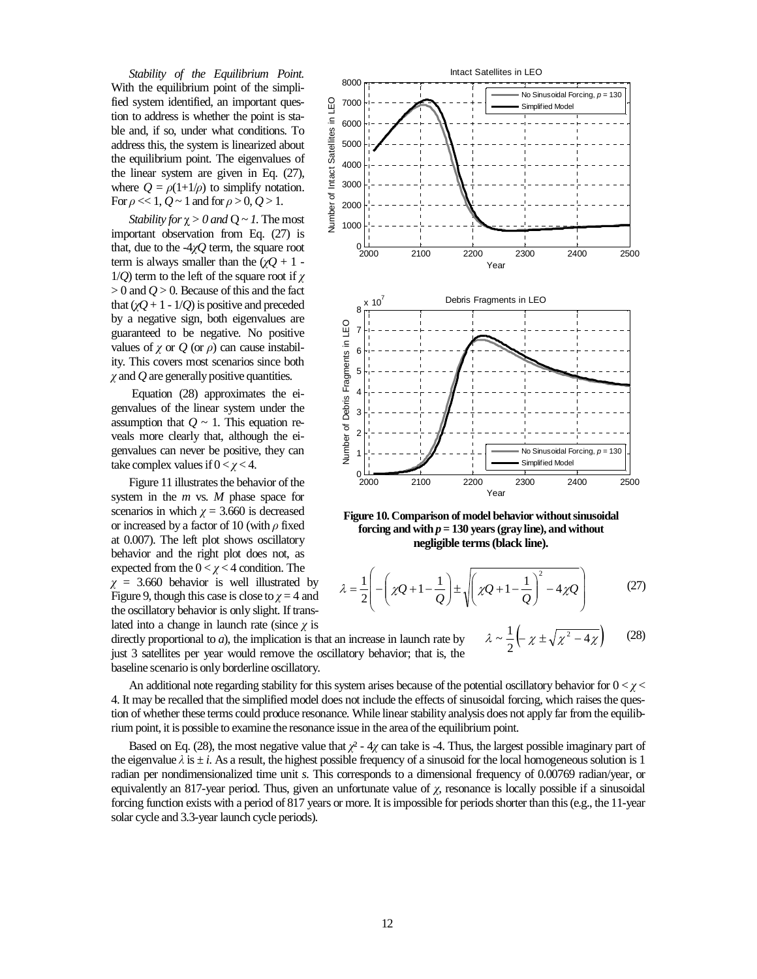*Stability of the Equilibrium Point.* With the equilibrium point of the simplified system identified, an important question to address is whether the point is stable and, if so, under what conditions. To address this, the system is linearized about the equilibrium point. The eigenvalues of the linear system are given in Eq. (27), where  $Q = \rho(1+1/\rho)$  to simplify notation. For  $\rho \ll 1$ ,  $Q \sim 1$  and for  $\rho > 0$ ,  $Q > 1$ .

*Stability for*  $\chi > 0$  *and*  $Q \sim 1$ . The most important observation from Eq. (27) is that, due to the -4χ*Q* term, the square root term is always smaller than the  $(\chi Q + 1 1/Q$ ) term to the left of the square root if  $\chi$  $> 0$  and  $Q > 0$ . Because of this and the fact that  $(\chi Q + 1 - 1/Q)$  is positive and preceded by a negative sign, both eigenvalues are guaranteed to be negative. No positive values of  $\chi$  or  $\dot{Q}$  (or  $\rho$ ) can cause instability. This covers most scenarios since both χ and *Q* are generally positive quantities.

 Equation (28) approximates the eigenvalues of the linear system under the assumption that  $Q \sim 1$ . This equation reveals more clearly that, although the eigenvalues can never be positive, they can take complex values if  $0 < \gamma < 4$ .

Figure 11 illustrates the behavior of the system in the *m* vs. *M* phase space for scenarios in which  $\gamma = 3.660$  is decreased or increased by a factor of 10 (with  $\rho$  fixed at 0.007). The left plot shows oscillatory behavior and the right plot does not, as expected from the  $0 < \chi < 4$  condition. The  $\chi$  = 3.660 behavior is well illustrated by Figure 9, though this case is close to  $\chi = 4$  and the oscillatory behavior is only slight. If trans-



An additional note regarding stability for this system arises because of the potential oscillatory behavior for  $0 < \chi <$ 4. It may be recalled that the simplified model does not include the effects of sinusoidal forcing, which raises the question of whether these terms could produce resonance. While linear stability analysis does not apply far from the equilibrium point, it is possible to examine the resonance issue in the area of the equilibrium point.

Based on Eq. (28), the most negative value that  $\chi^2$  - 4 $\chi$  can take is -4. Thus, the largest possible imaginary part of the eigenvalue  $\lambda$  is  $\pm i$ . As a result, the highest possible frequency of a sinusoid for the local homogeneous solution is 1 radian per nondimensionalized time unit *s*. This corresponds to a dimensional frequency of 0.00769 radian/year, or equivalently an 817-year period. Thus, given an unfortunate value of  $\chi$ , resonance is locally possible if a sinusoidal forcing function exists with a period of 817 years or more. It is impossible for periods shorter than this (e.g., the 11-year solar cycle and 3.3-year launch cycle periods).



**Figure 10. Comparison of model behavior without sinusoidal forcing and with**  $p = 130$  **years (gray line), and without negligible terms (black line).** 

$$
\lambda = \frac{1}{2} \left( -\left( \chi Q + 1 - \frac{1}{Q} \right) \pm \sqrt{\left( \chi Q + 1 - \frac{1}{Q} \right)^2 - 4 \chi Q} \right) \tag{27}
$$

$$
\lambda \sim \frac{1}{2} \left( -\chi \pm \sqrt{\chi^2 - 4\chi} \right) \qquad (28)
$$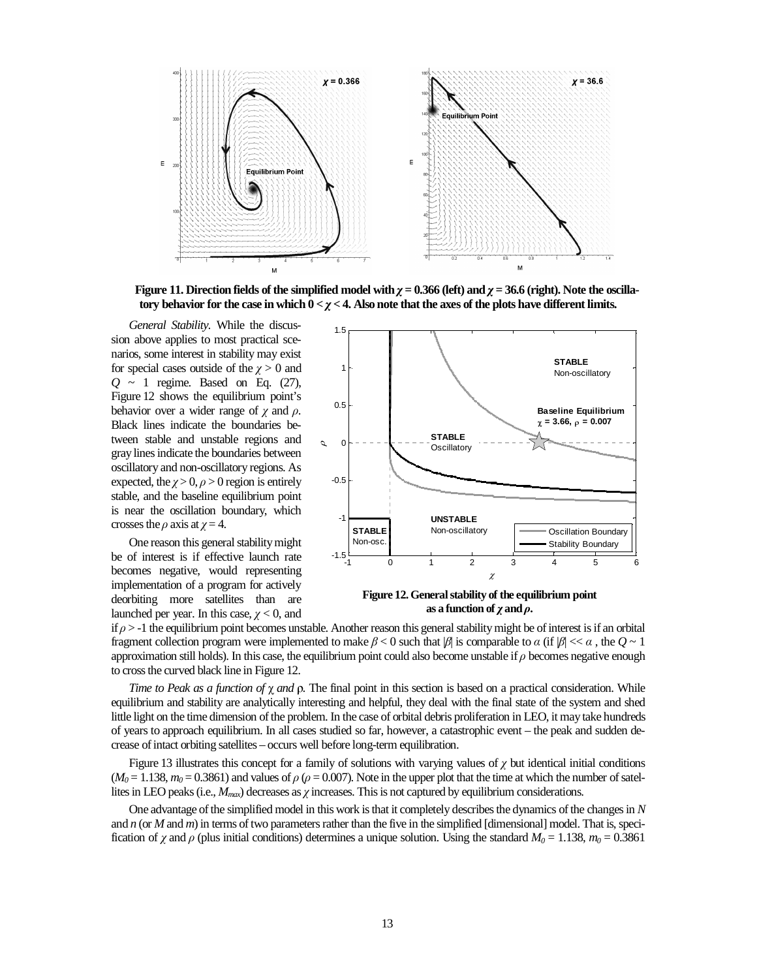

**Figure 11. Direction fields of the simplified model with**  $\chi$  **= 0.366 (left) and**  $\chi$  **= 36.6 (right). Note the oscillatory behavior for the case in which 0 <** χ **< 4. Also note that the axes of the plots have different limits.** 

*General Stability.* While the discussion above applies to most practical scenarios, some interest in stability may exist for special cases outside of the  $\chi > 0$  and *Q* ~ 1 regime. Based on Eq. (27), Figure 12 shows the equilibrium point's behavior over a wider range of  $\gamma$  and  $\rho$ . Black lines indicate the boundaries between stable and unstable regions and gray lines indicate the boundaries between oscillatory and non-oscillatory regions. As expected, the  $\chi > 0$ ,  $\rho > 0$  region is entirely stable, and the baseline equilibrium point is near the oscillation boundary, which crosses the  $\rho$  axis at  $\chi = 4$ .

One reason this general stability might be of interest is if effective launch rate becomes negative, would representing implementation of a program for actively deorbiting more satellites than are launched per year. In this case,  $\gamma$  < 0, and



**Figure 12. General stability of the equilibrium point as a function of**  $\chi$  **and**  $\rho$ **.** 

if  $\rho$  > -1 the equilibrium point becomes unstable. Another reason this general stability might be of interest is if an orbital fragment collection program were implemented to make  $\beta < 0$  such that  $\beta$  is comparable to  $\alpha$  (if  $\beta \ll \alpha$ , the  $Q \sim 1$ approximation still holds). In this case, the equilibrium point could also become unstable if  $\rho$  becomes negative enough to cross the curved black line in Figure 12.

*Time to Peak as a function of* χ *and* ρ*.* The final point in this section is based on a practical consideration. While equilibrium and stability are analytically interesting and helpful, they deal with the final state of the system and shed little light on the time dimension of the problem. In the case of orbital debris proliferation in LEO, it may take hundreds of years to approach equilibrium. In all cases studied so far, however, a catastrophic event – the peak and sudden decrease of intact orbiting satellites – occurs well before long-term equilibration.

Figure 13 illustrates this concept for a family of solutions with varying values of  $\chi$  but identical initial conditions  $(M<sub>0</sub> = 1.138, m<sub>0</sub> = 0.3861)$  and values of  $\rho$  ( $\rho = 0.007$ ). Note in the upper plot that the time at which the number of satellites in LEO peaks (i.e., *Mmax*) decreases as χ increases. This is not captured by equilibrium considerations.

One advantage of the simplified model in this work is that it completely describes the dynamics of the changes in *N* and *n* (or *M* and *m*) in terms of two parameters rather than the five in the simplified [dimensional] model. That is, specification of  $\chi$  and  $\rho$  (plus initial conditions) determines a unique solution. Using the standard  $M_0 = 1.138$ ,  $m_0 = 0.3861$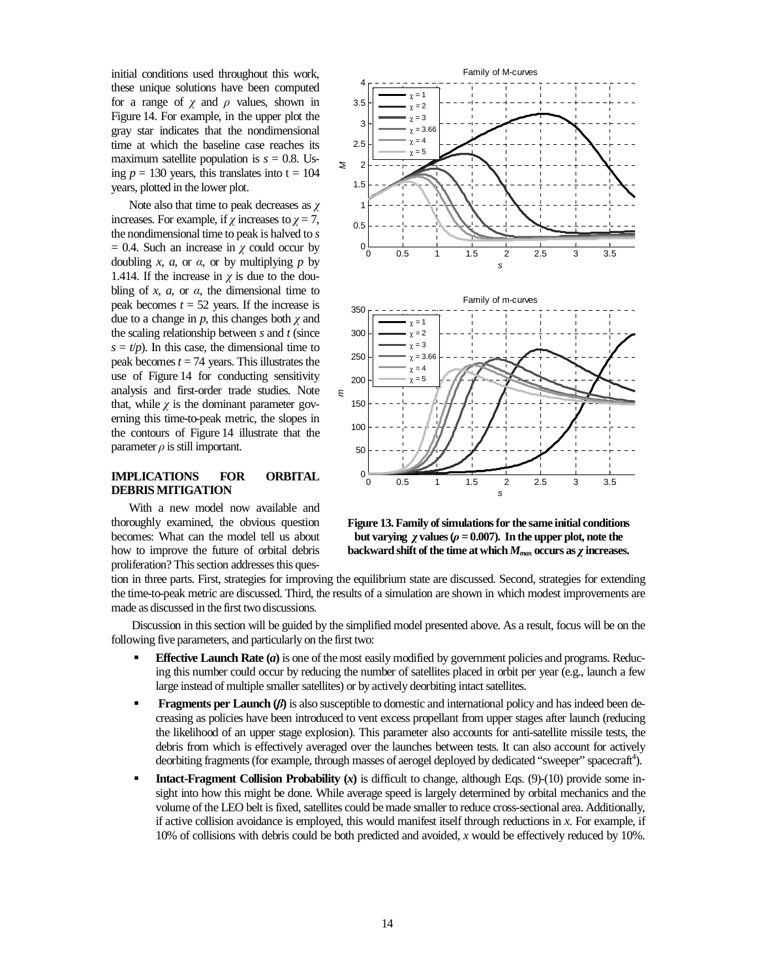initial conditions used throughout this work, these unique solutions have been computed for a range of  $\chi$  and  $\rho$  values, shown in Figure 14. For example, in the upper plot the gray star indicates that the nondimensional time at which the baseline case reaches its maximum satellite population is  $s = 0.8$ . Using  $p = 130$  years, this translates into  $t = 104$ years, plotted in the lower plot.

Note also that time to peak decreases as  $\chi$ increases. For example, if  $\chi$  increases to  $\chi = 7$ , the nondimensional time to peak is halved to *s*  $= 0.4$ . Such an increase in  $\chi$  could occur by doubling *x*, *a*, or *a*, or by multiplying *p* by 1.414. If the increase in  $\chi$  is due to the doubling of *x*, *a*, or  $\alpha$ , the dimensional time to peak becomes  $t = 52$  years. If the increase is due to a change in  $p$ , this changes both  $\chi$  and the scaling relationship between *s* and *t* (since  $s = t/p$ ). In this case, the dimensional time to peak becomes  $t = 74$  years. This illustrates the use of Figure 14 for conducting sensitivity analysis and first-order trade studies. Note that, while  $\gamma$  is the dominant parameter governing this time-to-peak metric, the slopes in the contours of Figure 14 illustrate that the parameter  $\rho$  is still important.

## **IMPLICATIONS FOR ORBITAL DEBRIS MITIGATION**

With a new model now available and thoroughly examined, the obvious question becomes: What can the model tell us about how to improve the future of orbital debris proliferation? This section addresses this ques-



**Figure 13. Family of simulations for the same initial conditions but varying** χ **values (**ρ **= 0.007). In the upper plot, note the backward shift of the time at which** *Mmax* **occurs as** χ **increases.** 

tion in three parts. First, strategies for improving the equilibrium state are discussed. Second, strategies for extending the time-to-peak metric are discussed. Third, the results of a simulation are shown in which modest improvements are made as discussed in the first two discussions.

 Discussion in this section will be guided by the simplified model presented above. As a result, focus will be on the following five parameters, and particularly on the first two:

- **Effective Launch Rate (***a*) is one of the most easily modified by government policies and programs. Reducing this number could occur by reducing the number of satellites placed in orbit per year (e.g., launch a few large instead of multiple smaller satellites) or by actively deorbiting intact satellites.
- **Fragments per Launch (β)** is also susceptible to domestic and international policy and has indeed been decreasing as policies have been introduced to vent excess propellant from upper stages after launch (reducing the likelihood of an upper stage explosion). This parameter also accounts for anti-satellite missile tests, the debris from which is effectively averaged over the launches between tests. It can also account for actively deorbiting fragments (for example, through masses of aerogel deployed by dedicated "sweeper" spacecraft<sup>4</sup>).
- **Intact-Fragment Collision Probability**  $(x)$  **is difficult to change, although Eqs. (9)-(10) provide some in**sight into how this might be done. While average speed is largely determined by orbital mechanics and the volume of the LEO belt is fixed, satellites could be made smaller to reduce cross-sectional area. Additionally, if active collision avoidance is employed, this would manifest itself through reductions in *x*. For example, if 10% of collisions with debris could be both predicted and avoided, *x* would be effectively reduced by 10%.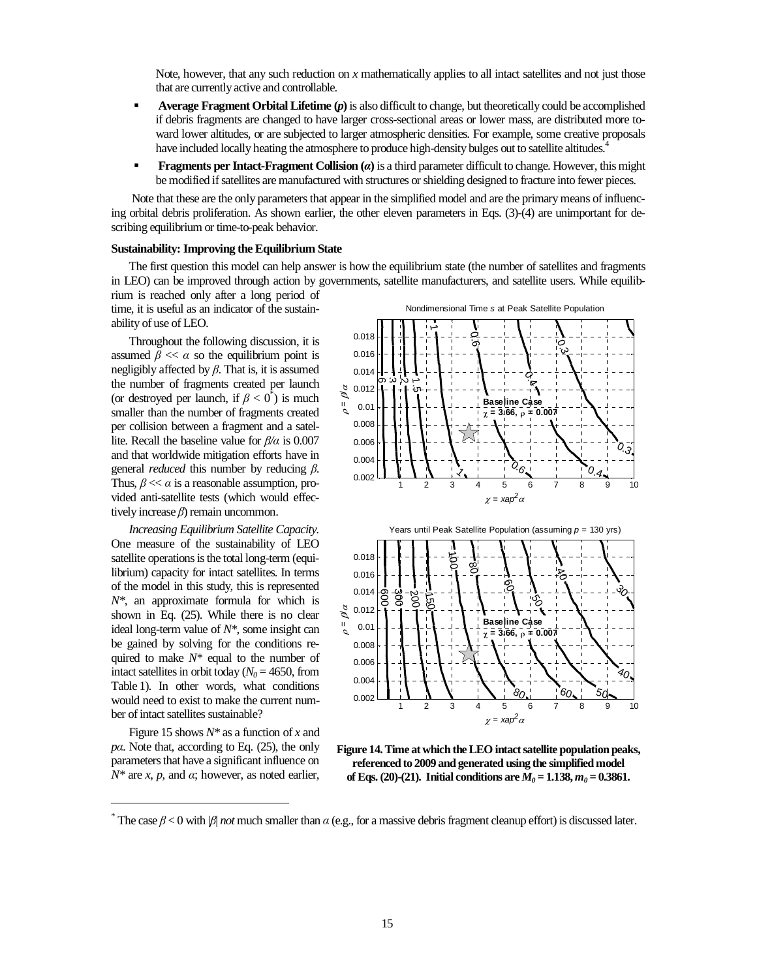Note, however, that any such reduction on *x* mathematically applies to all intact satellites and not just those that are currently active and controllable.

- **Average Fragment Orbital Lifetime (***p*) is also difficult to change, but theoretically could be accomplished if debris fragments are changed to have larger cross-sectional areas or lower mass, are distributed more toward lower altitudes, or are subjected to larger atmospheric densities. For example, some creative proposals have included locally heating the atmosphere to produce high-density bulges out to satellite altitudes.<sup>4</sup>
- **Fragments per Intact-Fragment Collision (**α**)** is a third parameter difficult to change. However, this might be modified if satellites are manufactured with structures or shielding designed to fracture into fewer pieces.

 Note that these are the only parameters that appear in the simplified model and are the primary means of influencing orbital debris proliferation. As shown earlier, the other eleven parameters in Eqs. (3)-(4) are unimportant for describing equilibrium or time-to-peak behavior.

#### **Sustainability: Improving the Equilibrium State**

The first question this model can help answer is how the equilibrium state (the number of satellites and fragments in LEO) can be improved through action by governments, satellite manufacturers, and satellite users. While equilib-

rium is reached only after a long period of time, it is useful as an indicator of the sustainability of use of LEO.

Throughout the following discussion, it is assumed  $\beta \ll \alpha$  so the equilibrium point is negligibly affected by  $\beta$ . That is, it is assumed the number of fragments created per launch (or destroyed per launch, if  $\beta < 0^*$ ) is much smaller than the number of fragments created per collision between a fragment and a satellite. Recall the baseline value for β*/*α is 0.007 and that worldwide mitigation efforts have in general *reduced* this number by reducing β. Thus,  $\beta \ll \alpha$  is a reasonable assumption, provided anti-satellite tests (which would effectively increase  $\beta$ ) remain uncommon.

*Increasing Equilibrium Satellite Capacity.* One measure of the sustainability of LEO satellite operations is the total long-term (equilibrium) capacity for intact satellites. In terms of the model in this study, this is represented *N\**, an approximate formula for which is shown in Eq. (25). While there is no clear ideal long-term value of *N\**, some insight can be gained by solving for the conditions required to make *N\** equal to the number of intact satellites in orbit today ( $N_0$  = 4650, from Table 1). In other words, what conditions would need to exist to make the current number of intact satellites sustainable?

Figure 15 shows *N\** as a function of *x* and *p*α. Note that, according to Eq. (25), the only parameters that have a significant influence on  $N^*$  are *x*, *p*, and *α*; however, as noted earlier,

-





**Figure 14. Time at which the LEO intact satellite population peaks, referenced to 2009 and generated using the simplified model**  of Eqs. (20)-(21). Initial conditions are  $M_0 = 1.138$ ,  $m_0 = 0.3861$ .

<sup>&</sup>lt;sup>\*</sup> The case  $\beta$  < 0 with  $|\beta|$  *not* much smaller than  $\alpha$  (e.g., for a massive debris fragment cleanup effort) is discussed later.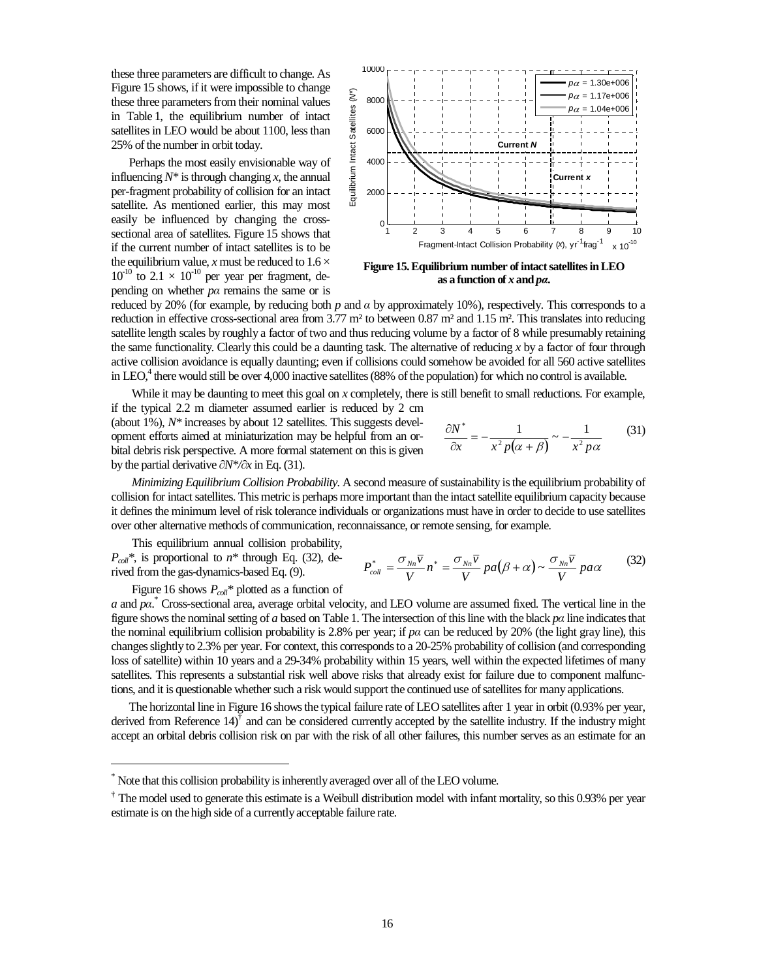these three parameters are difficult to change. As Figure 15 shows, if it were impossible to change these three parameters from their nominal values in Table 1, the equilibrium number of intact satellites in LEO would be about 1100, less than 25% of the number in orbit today.

Perhaps the most easily envisionable way of influencing  $N^*$  is through changing  $x$ , the annual per-fragment probability of collision for an intact satellite. As mentioned earlier, this may most easily be influenced by changing the crosssectional area of satellites. Figure 15 shows that if the current number of intact satellites is to be the equilibrium value, *x* must be reduced to  $1.6 \times$  $10^{-10}$  to  $2.1 \times 10^{-10}$  per year per fragment, depending on whether *p*α remains the same or is



**Figure 15. Equilibrium number of intact satellites in LEO as a function of** *x* **and** *p*α**.** 

reduced by 20% (for example, by reducing both *p* and α by approximately 10%), respectively. This corresponds to a reduction in effective cross-sectional area from  $3.77 \text{ m}^2$  to between  $0.87 \text{ m}^2$  and  $1.15 \text{ m}^2$ . This translates into reducing satellite length scales by roughly a factor of two and thus reducing volume by a factor of 8 while presumably retaining the same functionality. Clearly this could be a daunting task. The alternative of reducing *x* by a factor of four through active collision avoidance is equally daunting; even if collisions could somehow be avoided for all 560 active satellites in LEO,<sup>4</sup> there would still be over 4,000 inactive satellites (88% of the population) for which no control is available.

While it may be daunting to meet this goal on *x* completely, there is still benefit to small reductions. For example, if the typical 2.2 m diameter assumed earlier is reduced by 2 cm

(about 1%), *N\** increases by about 12 satellites. This suggests development efforts aimed at miniaturization may be helpful from an orbital debris risk perspective. A more formal statement on this is given by the partial derivative ∂*N\*/*∂*x* in Eq. (31).

$$
\frac{\partial N^*}{\partial x} = -\frac{1}{x^2 p(\alpha + \beta)} \sim -\frac{1}{x^2 p \alpha} \tag{31}
$$

 *Minimizing Equilibrium Collision Probability.* A second measure of sustainability is the equilibrium probability of collision for intact satellites. This metric is perhaps more important than the intact satellite equilibrium capacity because it defines the minimum level of risk tolerance individuals or organizations must have in order to decide to use satellites over other alternative methods of communication, reconnaissance, or remote sensing, for example.

 This equilibrium annual collision probability,  $P_{coll}$ <sup>\*</sup>, is proportional to  $n^*$  through Eq. (32), derived from the gas-dynamics-based Eq. (9).

-

$$
P_{coll}^* = \frac{\sigma_{Nn}\overline{v}}{V}n^* = \frac{\sigma_{Nn}\overline{v}}{V}pa(\beta + \alpha) \sim \frac{\sigma_{Nn}\overline{v}}{V}pa\alpha
$$
 (32)

Figure 16 shows *Pcoll\** plotted as a function of

*a* and *pa*.<sup>\*</sup> Cross-sectional area, average orbital velocity, and LEO volume are assumed fixed. The vertical line in the figure shows the nominal setting of *a* based on Table 1. The intersection of this line with the black *p*α line indicates that the nominal equilibrium collision probability is 2.8% per year; if  $p\alpha$  can be reduced by 20% (the light gray line), this changes slightly to 2.3% per year. For context, this corresponds to a 20-25% probability of collision (and corresponding loss of satellite) within 10 years and a 29-34% probability within 15 years, well within the expected lifetimes of many satellites. This represents a substantial risk well above risks that already exist for failure due to component malfunctions, and it is questionable whether such a risk would support the continued use of satellites for many applications.

The horizontal line in Figure 16 shows the typical failure rate of LEO satellites after 1 year in orbit (0.93% per year, derived from Reference  $14$ <sup> $\ddot{)}$ </sup> and can be considered currently accepted by the satellite industry. If the industry might accept an orbital debris collision risk on par with the risk of all other failures, this number serves as an estimate for an

<sup>\*</sup> Note that this collision probability is inherently averaged over all of the LEO volume.

<sup>&</sup>lt;sup>†</sup> The model used to generate this estimate is a Weibull distribution model with infant mortality, so this 0.93% per year estimate is on the high side of a currently acceptable failure rate.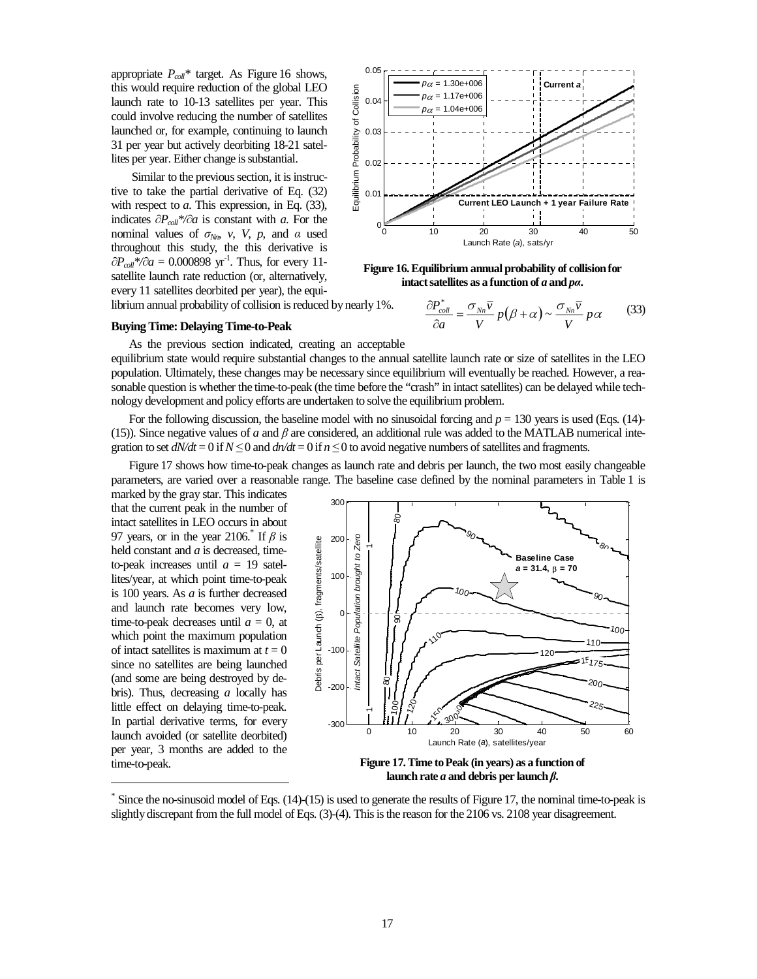appropriate *Pcoll\** target. As Figure 16 shows, this would require reduction of the global LEO launch rate to 10-13 satellites per year. This could involve reducing the number of satellites launched or, for example, continuing to launch 31 per year but actively deorbiting 18-21 satellites per year. Either change is substantial.

 Similar to the previous section, it is instructive to take the partial derivative of Eq. (32) with respect to *a*. This expression, in Eq. (33), indicates ∂*Pcoll\*/*∂*a* is constant with *a*. For the nominal values of  $\sigma_{Nn}$ , *v*, *V*, *p*, and  $\alpha$  used throughout this study, the this derivative is  $∂P_{coll}$ <sup>\*</sup>/∂*a* = 0.000898 yr<sup>-1</sup>. Thus, for every 11satellite launch rate reduction (or, alternatively, every 11 satellites deorbited per year), the equi-

librium annual probability of collision is reduced by nearly 1%.



**Figure 16. Equilibrium annual probability of collision for intact satellites as a function of** *a* **and** *pa***.** 

 $\frac{\sigma_{Nn} \overline{v}}{V} p(\beta + \alpha) \sim \frac{\sigma_{Nn} \overline{v}}{V} p\alpha$ *V*  $p(\beta + \alpha) \sim \frac{\sigma_{Nn} \overline{v}}{V}$ *V v a*  $\frac{P_{coll}^*}{P_{coll}} = \frac{\sigma_{Nn} \overline{V}}{V} p(\beta + \alpha) \sim \frac{\sigma_{Nn}}{V}$ ∂  $\frac{\partial P_{coll}^*}{\partial P_{coll}} = \frac{\sigma_{Nn} \overline{v}}{n(\beta + \alpha)} \approx \frac{\sigma_{Nn} \overline{v}}{n\alpha} n\alpha$  (33)

## **Buying Time: Delaying Time-to-Peak**

As the previous section indicated, creating an acceptable equilibrium state would require substantial changes to the annual satellite launch rate or size of satellites in the LEO population. Ultimately, these changes may be necessary since equilibrium will eventually be reached. However, a reasonable question is whether the time-to-peak (the time before the "crash" in intact satellites) can be delayed while technology development and policy efforts are undertaken to solve the equilibrium problem.

For the following discussion, the baseline model with no sinusoidal forcing and  $p = 130$  years is used (Eqs. (14)-(15)). Since negative values of *a* and  $\beta$  are considered, an additional rule was added to the MATLAB numerical integration to set  $dN/dt = 0$  if  $N \le 0$  and  $d\nu/dt = 0$  if  $n \le 0$  to avoid negative numbers of satellites and fragments.

Figure 17 shows how time-to-peak changes as launch rate and debris per launch, the two most easily changeable parameters, are varied over a reasonable range. The baseline case defined by the nominal parameters in Table 1 is

marked by the gray star. This indicates that the current peak in the number of intact satellites in LEO occurs in about 97 years, or in the year 2106. If  $\beta$  is held constant and *a* is decreased, timeto-peak increases until  $a = 19$  satellites/year, at which point time-to-peak is 100 years. As *a* is further decreased and launch rate becomes very low, time-to-peak decreases until  $a = 0$ , at which point the maximum population of intact satellites is maximum at  $t = 0$ since no satellites are being launched (and some are being destroyed by debris). Thus, decreasing *a* locally has little effect on delaying time-to-peak. In partial derivative terms, for every launch avoided (or satellite deorbited) per year, 3 months are added to the time-to-peak.

-



**launch rate** *a* **and debris per launch** β**.** 

<sup>\*</sup> Since the no-sinusoid model of Eqs. (14)-(15) is used to generate the results of Figure 17, the nominal time-to-peak is slightly discrepant from the full model of Eqs. (3)-(4). This is the reason for the 2106 vs. 2108 year disagreement.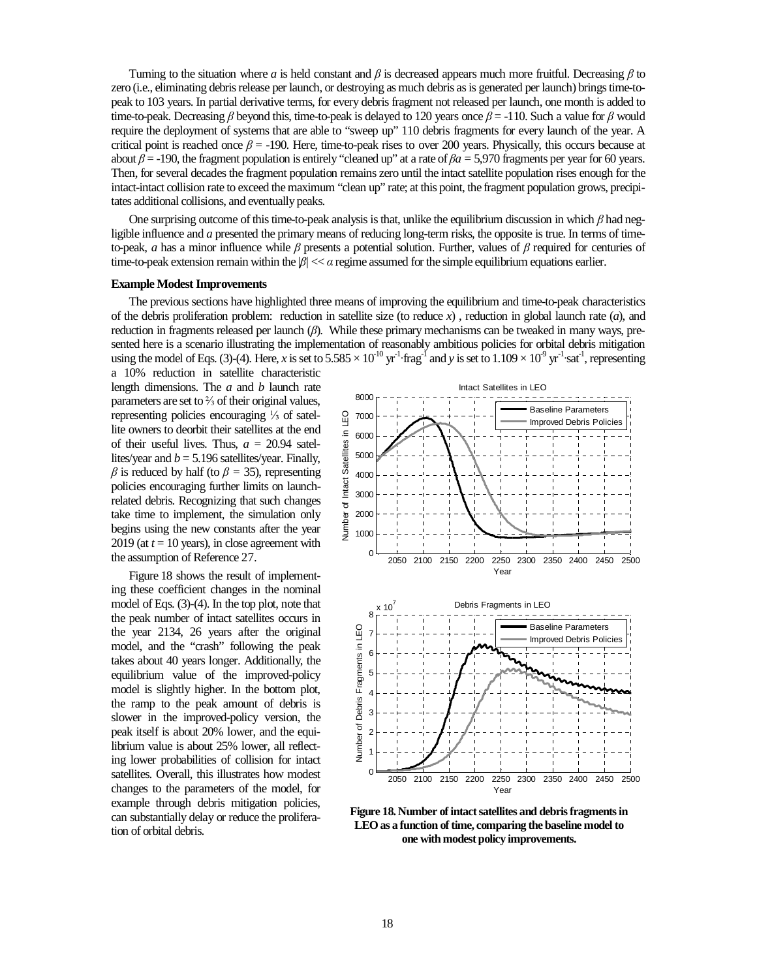Turning to the situation where *a* is held constant and  $\beta$  is decreased appears much more fruitful. Decreasing  $\beta$  to zero (i.e., eliminating debris release per launch, or destroying as much debris as is generated per launch) brings time-topeak to 103 years. In partial derivative terms, for every debris fragment not released per launch, one month is added to time-to-peak. Decreasing β beyond this, time-to-peak is delayed to 120 years once  $\beta$  = -110. Such a value for β would require the deployment of systems that are able to "sweep up" 110 debris fragments for every launch of the year. A critical point is reached once  $\beta$  = -190. Here, time-to-peak rises to over 200 years. Physically, this occurs because at about  $\beta$  = -190, the fragment population is entirely "cleaned up" at a rate of  $\beta a = 5,970$  fragments per year for 60 years. Then, for several decades the fragment population remains zero until the intact satellite population rises enough for the intact-intact collision rate to exceed the maximum "clean up" rate; at this point, the fragment population grows, precipitates additional collisions, and eventually peaks.

One surprising outcome of this time-to-peak analysis is that, unlike the equilibrium discussion in which  $\beta$  had negligible influence and *a* presented the primary means of reducing long-term risks, the opposite is true. In terms of timeto-peak, *a* has a minor influence while β presents a potential solution. Further, values of β required for centuries of time-to-peak extension remain within the  $|\beta| \ll \alpha$  regime assumed for the simple equilibrium equations earlier.

#### **Example Modest Improvements**

The previous sections have highlighted three means of improving the equilibrium and time-to-peak characteristics of the debris proliferation problem: reduction in satellite size (to reduce *x*) , reduction in global launch rate (*a*), and reduction in fragments released per launch (β). While these primary mechanisms can be tweaked in many ways, presented here is a scenario illustrating the implementation of reasonably ambitious policies for orbital debris mitigation using the model of Eqs. (3)-(4). Here, *x* is set to  $5.585 \times 10^{-10}$  yr<sup>-1</sup> frag<sup>-1</sup> and *y* is set to  $1.109 \times 10^{-9}$  yr<sup>-1</sup> sat<sup>-1</sup>, representing

a 10% reduction in satellite characteristic length dimensions. The *a* and *b* launch rate parameters are set to ⅔ of their original values, representing policies encouraging ⅓ of satellite owners to deorbit their satellites at the end of their useful lives. Thus,  $a = 20.94$  satellites/year and  $b = 5.196$  satellites/year. Finally, β is reduced by half (to β *=* 35), representing policies encouraging further limits on launchrelated debris. Recognizing that such changes take time to implement, the simulation only begins using the new constants after the year 2019 (at  $t = 10$  years), in close agreement with the assumption of Reference 27.

Figure 18 shows the result of implementing these coefficient changes in the nominal model of Eqs. (3)-(4). In the top plot, note that the peak number of intact satellites occurs in the year 2134, 26 years after the original model, and the "crash" following the peak takes about 40 years longer. Additionally, the equilibrium value of the improved-policy model is slightly higher. In the bottom plot, the ramp to the peak amount of debris is slower in the improved-policy version, the peak itself is about 20% lower, and the equilibrium value is about 25% lower, all reflecting lower probabilities of collision for intact satellites. Overall, this illustrates how modest changes to the parameters of the model, for example through debris mitigation policies, can substantially delay or reduce the proliferation of orbital debris.



**Figure 18. Number of intact satellites and debris fragments in LEO as a function of time, comparing the baseline model to one with modest policy improvements.**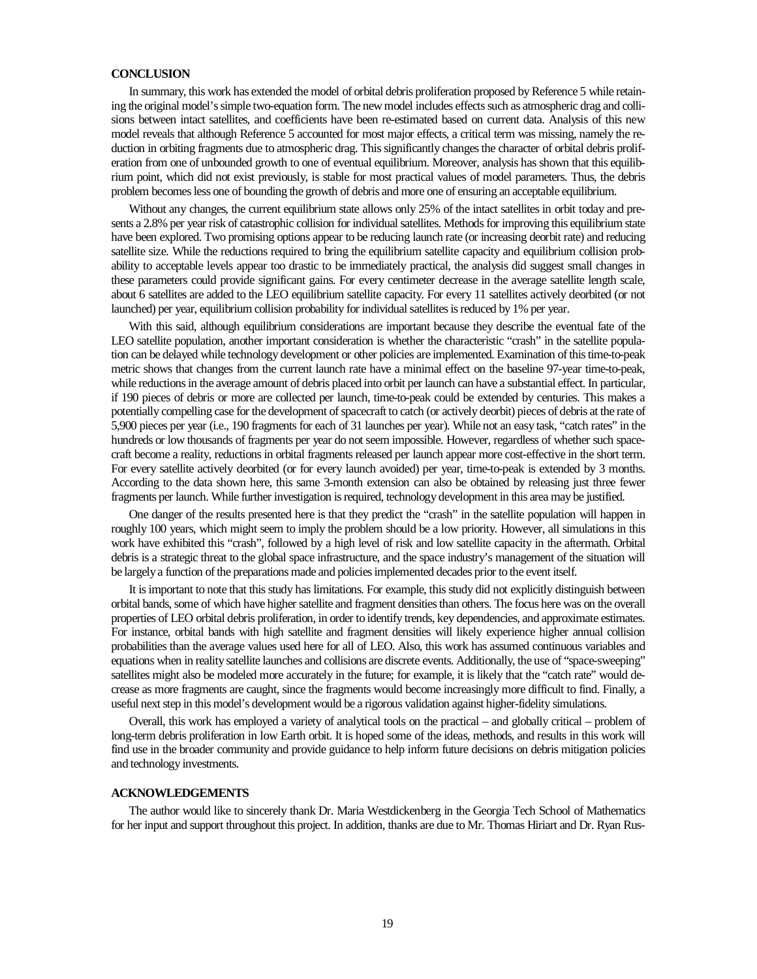## **CONCLUSION**

In summary, this work has extended the model of orbital debris proliferation proposed by Reference 5 while retaining the original model's simple two-equation form. The new model includes effects such as atmospheric drag and collisions between intact satellites, and coefficients have been re-estimated based on current data. Analysis of this new model reveals that although Reference 5 accounted for most major effects, a critical term was missing, namely the reduction in orbiting fragments due to atmospheric drag. This significantly changes the character of orbital debris proliferation from one of unbounded growth to one of eventual equilibrium. Moreover, analysis has shown that this equilibrium point, which did not exist previously, is stable for most practical values of model parameters. Thus, the debris problem becomes less one of bounding the growth of debris and more one of ensuring an acceptable equilibrium.

Without any changes, the current equilibrium state allows only 25% of the intact satellites in orbit today and presents a 2.8% per year risk of catastrophic collision for individual satellites. Methods for improving this equilibrium state have been explored. Two promising options appear to be reducing launch rate (or increasing deorbit rate) and reducing satellite size. While the reductions required to bring the equilibrium satellite capacity and equilibrium collision probability to acceptable levels appear too drastic to be immediately practical, the analysis did suggest small changes in these parameters could provide significant gains. For every centimeter decrease in the average satellite length scale, about 6 satellites are added to the LEO equilibrium satellite capacity. For every 11 satellites actively deorbited (or not launched) per year, equilibrium collision probability for individual satellites is reduced by 1% per year.

With this said, although equilibrium considerations are important because they describe the eventual fate of the LEO satellite population, another important consideration is whether the characteristic "crash" in the satellite population can be delayed while technology development or other policies are implemented. Examination of this time-to-peak metric shows that changes from the current launch rate have a minimal effect on the baseline 97-year time-to-peak, while reductions in the average amount of debris placed into orbit per launch can have a substantial effect. In particular, if 190 pieces of debris or more are collected per launch, time-to-peak could be extended by centuries. This makes a potentially compelling case for the development of spacecraft to catch (or actively deorbit) pieces of debris at the rate of 5,900 pieces per year (i.e., 190 fragments for each of 31 launches per year). While not an easy task, "catch rates" in the hundreds or low thousands of fragments per year do not seem impossible. However, regardless of whether such spacecraft become a reality, reductions in orbital fragments released per launch appear more cost-effective in the short term. For every satellite actively deorbited (or for every launch avoided) per year, time-to-peak is extended by 3 months. According to the data shown here, this same 3-month extension can also be obtained by releasing just three fewer fragments per launch. While further investigation is required, technology development in this area may be justified.

One danger of the results presented here is that they predict the "crash" in the satellite population will happen in roughly 100 years, which might seem to imply the problem should be a low priority. However, all simulations in this work have exhibited this "crash", followed by a high level of risk and low satellite capacity in the aftermath. Orbital debris is a strategic threat to the global space infrastructure, and the space industry's management of the situation will be largely a function of the preparations made and policies implemented decades prior to the event itself.

It is important to note that this study has limitations. For example, this study did not explicitly distinguish between orbital bands, some of which have higher satellite and fragment densities than others. The focus here was on the overall properties of LEO orbital debris proliferation, in order to identify trends, key dependencies, and approximate estimates. For instance, orbital bands with high satellite and fragment densities will likely experience higher annual collision probabilities than the average values used here for all of LEO. Also, this work has assumed continuous variables and equations when in reality satellite launches and collisions are discrete events. Additionally, the use of "space-sweeping" satellites might also be modeled more accurately in the future; for example, it is likely that the "catch rate" would decrease as more fragments are caught, since the fragments would become increasingly more difficult to find. Finally, a useful next step in this model's development would be a rigorous validation against higher-fidelity simulations.

Overall, this work has employed a variety of analytical tools on the practical – and globally critical – problem of long-term debris proliferation in low Earth orbit. It is hoped some of the ideas, methods, and results in this work will find use in the broader community and provide guidance to help inform future decisions on debris mitigation policies and technology investments.

#### **ACKNOWLEDGEMENTS**

The author would like to sincerely thank Dr. Maria Westdickenberg in the Georgia Tech School of Mathematics for her input and support throughout this project. In addition, thanks are due to Mr. Thomas Hiriart and Dr. Ryan Rus